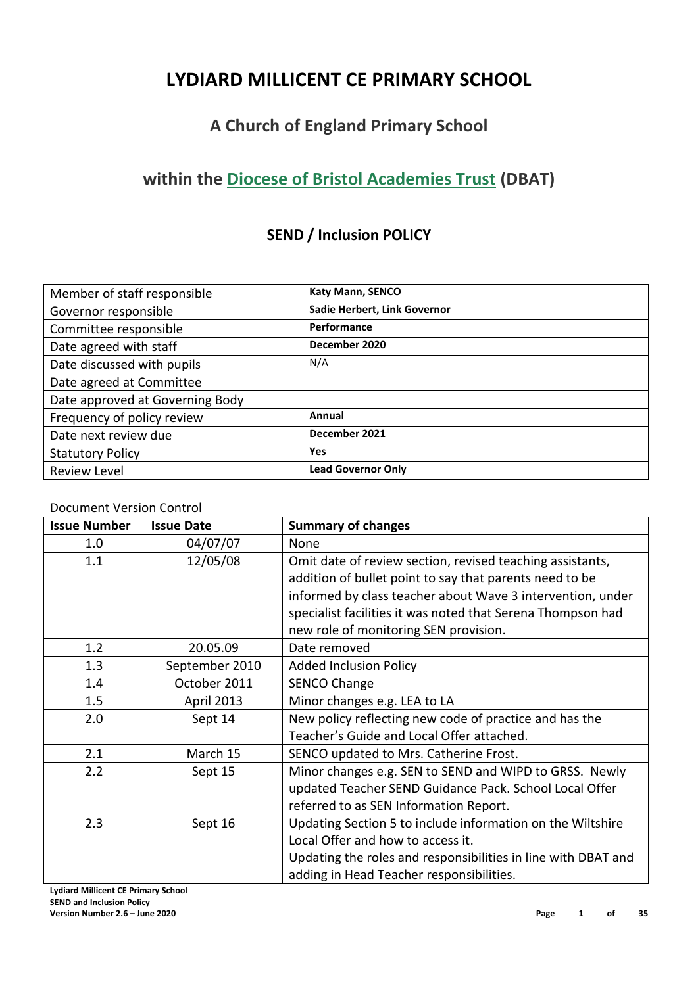# **LYDIARD MILLICENT CE PRIMARY SCHOOL**

# **A Church of England Primary School**

# **within the [Diocese of Bristol Academies Trust](http://dbat.org.uk/) (DBAT)**

# **SEND / Inclusion POLICY**

| Member of staff responsible     | <b>Katy Mann, SENCO</b>      |
|---------------------------------|------------------------------|
| Governor responsible            | Sadie Herbert, Link Governor |
| Committee responsible           | Performance                  |
| Date agreed with staff          | December 2020                |
| Date discussed with pupils      | N/A                          |
| Date agreed at Committee        |                              |
| Date approved at Governing Body |                              |
| Frequency of policy review      | Annual                       |
| Date next review due            | December 2021                |
| <b>Statutory Policy</b>         | Yes                          |
| <b>Review Level</b>             | <b>Lead Governor Only</b>    |

### Document Version Control

| <b>Issue Number</b> | <b>Issue Date</b> | <b>Summary of changes</b>                                     |  |
|---------------------|-------------------|---------------------------------------------------------------|--|
| 1.0                 | 04/07/07          | None                                                          |  |
| 1.1                 | 12/05/08          | Omit date of review section, revised teaching assistants,     |  |
|                     |                   | addition of bullet point to say that parents need to be       |  |
|                     |                   | informed by class teacher about Wave 3 intervention, under    |  |
|                     |                   | specialist facilities it was noted that Serena Thompson had   |  |
|                     |                   | new role of monitoring SEN provision.                         |  |
| 1.2                 | 20.05.09          | Date removed                                                  |  |
| 1.3                 | September 2010    | <b>Added Inclusion Policy</b>                                 |  |
| 1.4                 | October 2011      | <b>SENCO Change</b>                                           |  |
| 1.5                 | April 2013        | Minor changes e.g. LEA to LA                                  |  |
| 2.0                 | Sept 14           | New policy reflecting new code of practice and has the        |  |
|                     |                   | Teacher's Guide and Local Offer attached.                     |  |
| 2.1                 | March 15          | SENCO updated to Mrs. Catherine Frost.                        |  |
| 2.2                 | Sept 15           | Minor changes e.g. SEN to SEND and WIPD to GRSS. Newly        |  |
|                     |                   | updated Teacher SEND Guidance Pack. School Local Offer        |  |
|                     |                   | referred to as SEN Information Report.                        |  |
| 2.3                 | Sept 16           | Updating Section 5 to include information on the Wiltshire    |  |
|                     |                   | Local Offer and how to access it.                             |  |
|                     |                   | Updating the roles and responsibilities in line with DBAT and |  |
|                     |                   | adding in Head Teacher responsibilities.                      |  |

**Lydiard Millicent CE Primary School SEND and Inclusion Policy**

**Version Number 2.6 – June 2020 Page 1 of 35**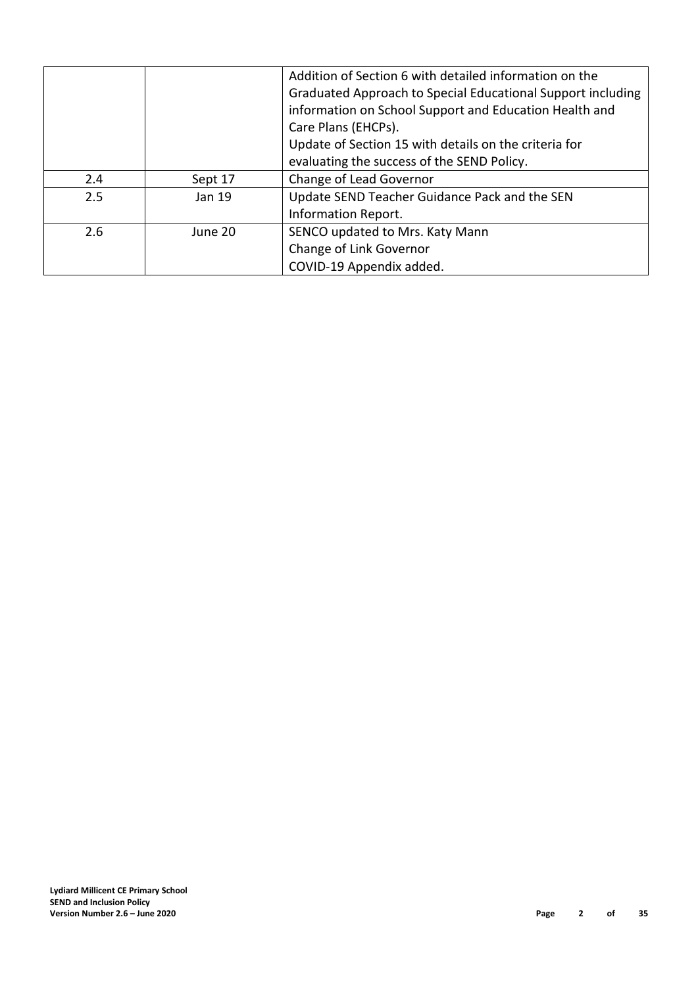|     |         | Addition of Section 6 with detailed information on the      |  |  |
|-----|---------|-------------------------------------------------------------|--|--|
|     |         | Graduated Approach to Special Educational Support including |  |  |
|     |         | information on School Support and Education Health and      |  |  |
|     |         | Care Plans (EHCPs).                                         |  |  |
|     |         | Update of Section 15 with details on the criteria for       |  |  |
|     |         | evaluating the success of the SEND Policy.                  |  |  |
| 2.4 | Sept 17 | Change of Lead Governor                                     |  |  |
| 2.5 | Jan 19  | Update SEND Teacher Guidance Pack and the SEN               |  |  |
|     |         | Information Report.                                         |  |  |
| 2.6 | June 20 | SENCO updated to Mrs. Katy Mann                             |  |  |
|     |         | Change of Link Governor                                     |  |  |
|     |         | COVID-19 Appendix added.                                    |  |  |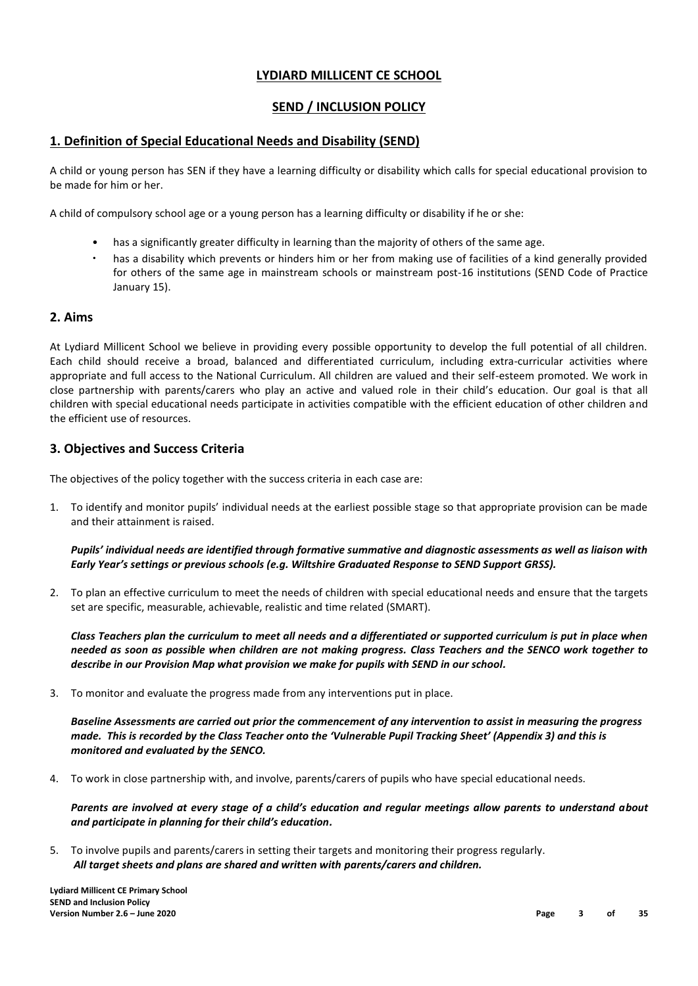### **LYDIARD MILLICENT CE SCHOOL**

### **SEND / INCLUSION POLICY**

### **1. Definition of Special Educational Needs and Disability (SEND)**

A child or young person has SEN if they have a learning difficulty or disability which calls for special educational provision to be made for him or her.

A child of compulsory school age or a young person has a learning difficulty or disability if he or she:

- has a significantly greater difficulty in learning than the majority of others of the same age.
- has a disability which prevents or hinders him or her from making use of facilities of a kind generally provided for others of the same age in mainstream schools or mainstream post-16 institutions (SEND Code of Practice January 15).

#### **2. Aims**

At Lydiard Millicent School we believe in providing every possible opportunity to develop the full potential of all children. Each child should receive a broad, balanced and differentiated curriculum, including extra-curricular activities where appropriate and full access to the National Curriculum. All children are valued and their self-esteem promoted. We work in close partnership with parents/carers who play an active and valued role in their child's education. Our goal is that all children with special educational needs participate in activities compatible with the efficient education of other children and the efficient use of resources.

#### **3. Objectives and Success Criteria**

The objectives of the policy together with the success criteria in each case are:

1. To identify and monitor pupils' individual needs at the earliest possible stage so that appropriate provision can be made and their attainment is raised.

*Pupils' individual needs are identified through formative summative and diagnostic assessments as well as liaison with Early Year's settings or previous schools (e.g. Wiltshire Graduated Response to SEND Support GRSS).*

2. To plan an effective curriculum to meet the needs of children with special educational needs and ensure that the targets set are specific, measurable, achievable, realistic and time related (SMART).

*Class Teachers plan the curriculum to meet all needs and a differentiated or supported curriculum is put in place when needed as soon as possible when children are not making progress. Class Teachers and the SENCO work together to describe in our Provision Map what provision we make for pupils with SEND in our school.*

3. To monitor and evaluate the progress made from any interventions put in place.

*Baseline Assessments are carried out prior the commencement of any intervention to assist in measuring the progress made. This is recorded by the Class Teacher onto the 'Vulnerable Pupil Tracking Sheet' (Appendix 3) and this is monitored and evaluated by the SENCO.*

4. To work in close partnership with, and involve, parents/carers of pupils who have special educational needs.

*Parents are involved at every stage of a child's education and regular meetings allow parents to understand about and participate in planning for their child's education.*

5. To involve pupils and parents/carers in setting their targets and monitoring their progress regularly. *All target sheets and plans are shared and written with parents/carers and children.*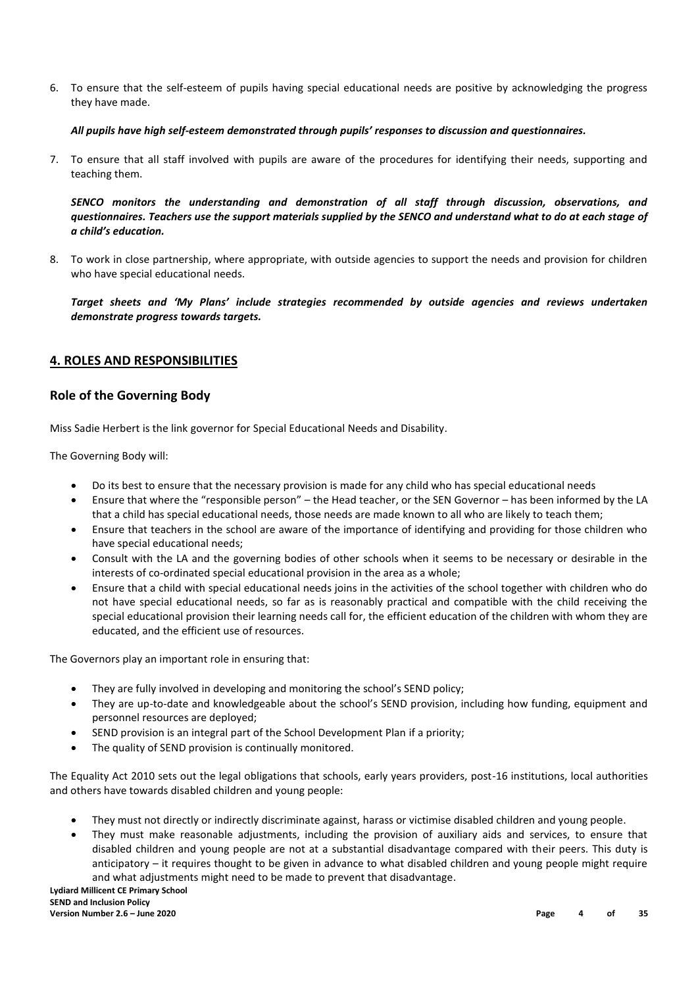6. To ensure that the self-esteem of pupils having special educational needs are positive by acknowledging the progress they have made.

#### *All pupils have high self-esteem demonstrated through pupils' responses to discussion and questionnaires.*

7. To ensure that all staff involved with pupils are aware of the procedures for identifying their needs, supporting and teaching them.

*SENCO monitors the understanding and demonstration of all staff through discussion, observations, and questionnaires. Teachers use the support materials supplied by the SENCO and understand what to do at each stage of a child's education.* 

8. To work in close partnership, where appropriate, with outside agencies to support the needs and provision for children who have special educational needs.

*Target sheets and 'My Plans' include strategies recommended by outside agencies and reviews undertaken demonstrate progress towards targets.*

#### **4. ROLES AND RESPONSIBILITIES**

#### **Role of the Governing Body**

Miss Sadie Herbert is the link governor for Special Educational Needs and Disability.

The Governing Body will:

- Do its best to ensure that the necessary provision is made for any child who has special educational needs
- Ensure that where the "responsible person" the Head teacher, or the SEN Governor has been informed by the LA that a child has special educational needs, those needs are made known to all who are likely to teach them;
- Ensure that teachers in the school are aware of the importance of identifying and providing for those children who have special educational needs;
- Consult with the LA and the governing bodies of other schools when it seems to be necessary or desirable in the interests of co-ordinated special educational provision in the area as a whole;
- Ensure that a child with special educational needs joins in the activities of the school together with children who do not have special educational needs, so far as is reasonably practical and compatible with the child receiving the special educational provision their learning needs call for, the efficient education of the children with whom they are educated, and the efficient use of resources.

The Governors play an important role in ensuring that:

- They are fully involved in developing and monitoring the school's SEND policy;
- They are up-to-date and knowledgeable about the school's SEND provision, including how funding, equipment and personnel resources are deployed;
- SEND provision is an integral part of the School Development Plan if a priority;
- The quality of SEND provision is continually monitored.

The Equality Act 2010 sets out the legal obligations that schools, early years providers, post-16 institutions, local authorities and others have towards disabled children and young people:

- They must not directly or indirectly discriminate against, harass or victimise disabled children and young people.
- They must make reasonable adjustments, including the provision of auxiliary aids and services, to ensure that disabled children and young people are not at a substantial disadvantage compared with their peers. This duty is anticipatory – it requires thought to be given in advance to what disabled children and young people might require and what adjustments might need to be made to prevent that disadvantage.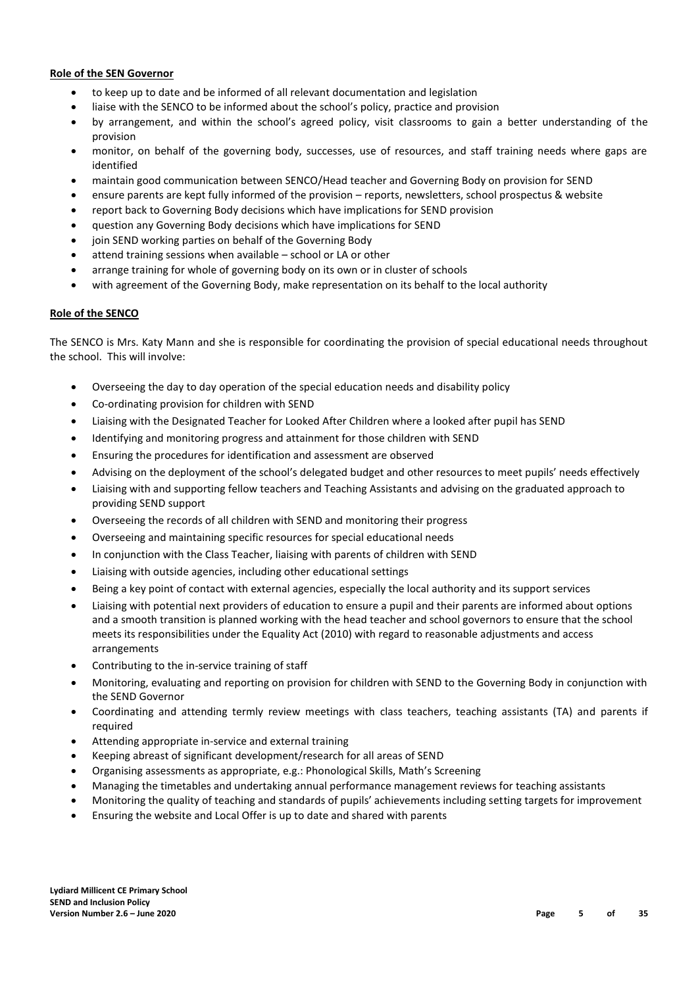#### **Role of the SEN Governor**

- to keep up to date and be informed of all relevant documentation and legislation
- liaise with the SENCO to be informed about the school's policy, practice and provision
- by arrangement, and within the school's agreed policy, visit classrooms to gain a better understanding of the provision
- monitor, on behalf of the governing body, successes, use of resources, and staff training needs where gaps are identified
- maintain good communication between SENCO/Head teacher and Governing Body on provision for SEND
- ensure parents are kept fully informed of the provision reports, newsletters, school prospectus & website
- report back to Governing Body decisions which have implications for SEND provision
- question any Governing Body decisions which have implications for SEND
- join SEND working parties on behalf of the Governing Body
- attend training sessions when available school or LA or other
- arrange training for whole of governing body on its own or in cluster of schools
- with agreement of the Governing Body, make representation on its behalf to the local authority

#### **Role of the SENCO**

The SENCO is Mrs. Katy Mann and she is responsible for coordinating the provision of special educational needs throughout the school. This will involve:

- Overseeing the day to day operation of the special education needs and disability policy
- Co-ordinating provision for children with SEND
- Liaising with the Designated Teacher for Looked After Children where a looked after pupil has SEND
- Identifying and monitoring progress and attainment for those children with SEND
- Ensuring the procedures for identification and assessment are observed
- Advising on the deployment of the school's delegated budget and other resources to meet pupils' needs effectively
- Liaising with and supporting fellow teachers and Teaching Assistants and advising on the graduated approach to providing SEND support
- Overseeing the records of all children with SEND and monitoring their progress
- Overseeing and maintaining specific resources for special educational needs
- In conjunction with the Class Teacher, liaising with parents of children with SEND
- Liaising with outside agencies, including other educational settings
- Being a key point of contact with external agencies, especially the local authority and its support services
- Liaising with potential next providers of education to ensure a pupil and their parents are informed about options and a smooth transition is planned working with the head teacher and school governors to ensure that the school meets its responsibilities under the Equality Act (2010) with regard to reasonable adjustments and access arrangements
- Contributing to the in-service training of staff
- Monitoring, evaluating and reporting on provision for children with SEND to the Governing Body in conjunction with the SEND Governor
- Coordinating and attending termly review meetings with class teachers, teaching assistants (TA) and parents if required
- Attending appropriate in-service and external training
- Keeping abreast of significant development/research for all areas of SEND
- Organising assessments as appropriate, e.g.: Phonological Skills, Math's Screening
- Managing the timetables and undertaking annual performance management reviews for teaching assistants
- Monitoring the quality of teaching and standards of pupils' achievements including setting targets for improvement
- Ensuring the website and Local Offer is up to date and shared with parents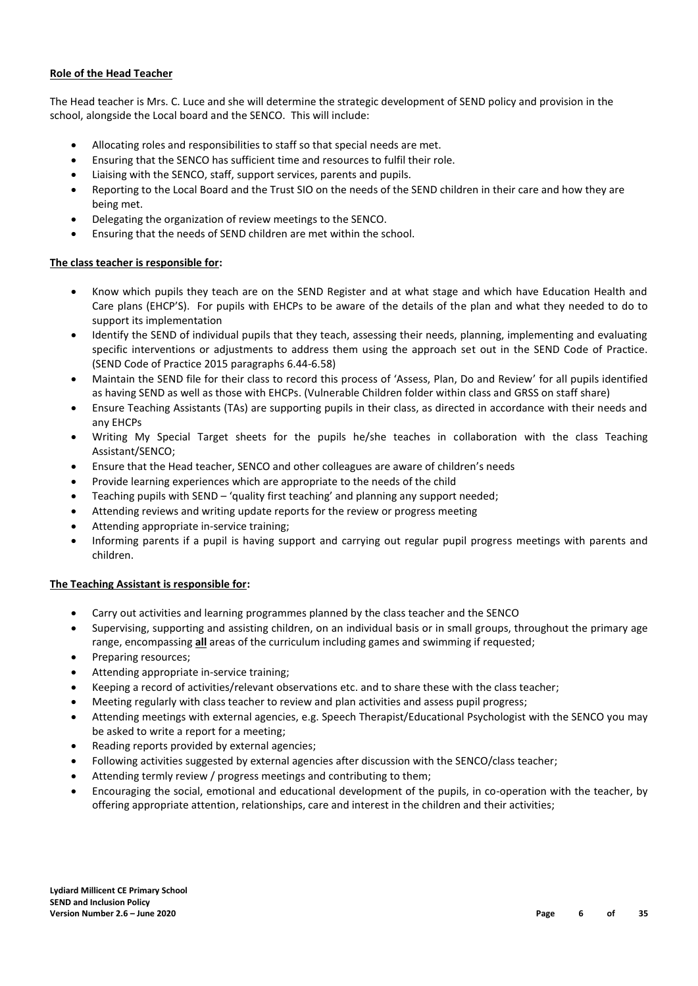#### **Role of the Head Teacher**

The Head teacher is Mrs. C. Luce and she will determine the strategic development of SEND policy and provision in the school, alongside the Local board and the SENCO. This will include:

- Allocating roles and responsibilities to staff so that special needs are met.
- Ensuring that the SENCO has sufficient time and resources to fulfil their role.
- Liaising with the SENCO, staff, support services, parents and pupils.
- Reporting to the Local Board and the Trust SIO on the needs of the SEND children in their care and how they are being met.
- Delegating the organization of review meetings to the SENCO.
- Ensuring that the needs of SEND children are met within the school.

#### **The class teacher is responsible for:**

- Know which pupils they teach are on the SEND Register and at what stage and which have Education Health and Care plans (EHCP'S). For pupils with EHCPs to be aware of the details of the plan and what they needed to do to support its implementation
- Identify the SEND of individual pupils that they teach, assessing their needs, planning, implementing and evaluating specific interventions or adjustments to address them using the approach set out in the SEND Code of Practice. (SEND Code of Practice 2015 paragraphs 6.44-6.58)
- Maintain the SEND file for their class to record this process of 'Assess, Plan, Do and Review' for all pupils identified as having SEND as well as those with EHCPs. (Vulnerable Children folder within class and GRSS on staff share)
- Ensure Teaching Assistants (TAs) are supporting pupils in their class, as directed in accordance with their needs and any EHCPs
- Writing My Special Target sheets for the pupils he/she teaches in collaboration with the class Teaching Assistant/SENCO;
- Ensure that the Head teacher, SENCO and other colleagues are aware of children's needs
- Provide learning experiences which are appropriate to the needs of the child
- Teaching pupils with SEND 'quality first teaching' and planning any support needed;
- Attending reviews and writing update reports for the review or progress meeting
- Attending appropriate in-service training;
- Informing parents if a pupil is having support and carrying out regular pupil progress meetings with parents and children.

#### **The Teaching Assistant is responsible for:**

- Carry out activities and learning programmes planned by the class teacher and the SENCO
- Supervising, supporting and assisting children, on an individual basis or in small groups, throughout the primary age range, encompassing **all** areas of the curriculum including games and swimming if requested;
- Preparing resources;
- Attending appropriate in-service training;
- Keeping a record of activities/relevant observations etc. and to share these with the class teacher;
- Meeting regularly with class teacher to review and plan activities and assess pupil progress;
- Attending meetings with external agencies, e.g. Speech Therapist/Educational Psychologist with the SENCO you may be asked to write a report for a meeting;
- Reading reports provided by external agencies;
- Following activities suggested by external agencies after discussion with the SENCO/class teacher;
- Attending termly review / progress meetings and contributing to them;
- Encouraging the social, emotional and educational development of the pupils, in co-operation with the teacher, by offering appropriate attention, relationships, care and interest in the children and their activities;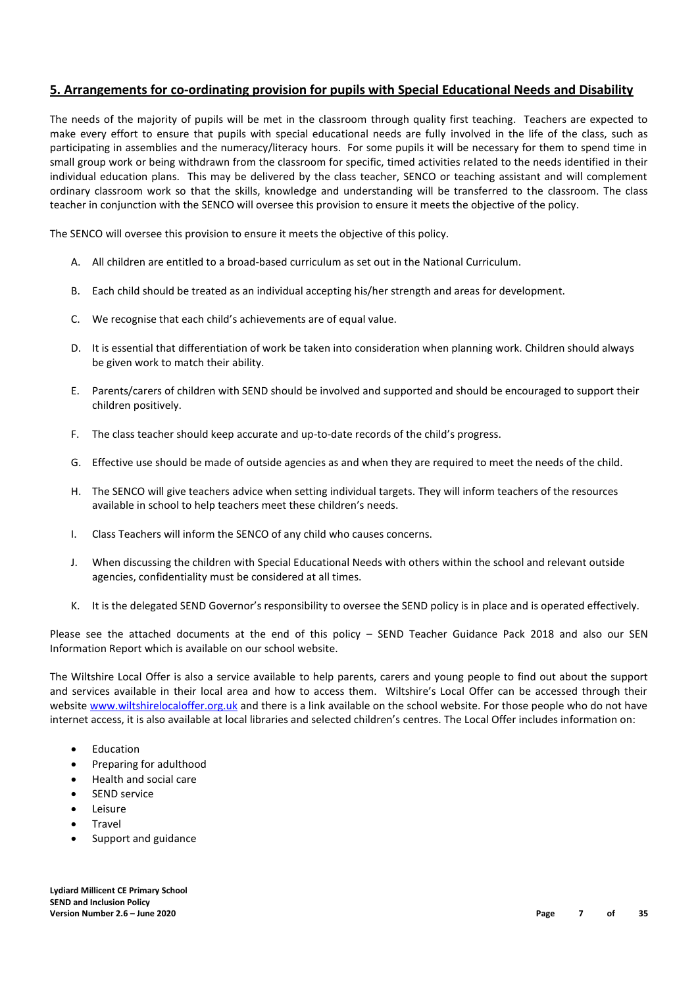### **5. Arrangements for co-ordinating provision for pupils with Special Educational Needs and Disability**

The needs of the majority of pupils will be met in the classroom through quality first teaching. Teachers are expected to make every effort to ensure that pupils with special educational needs are fully involved in the life of the class, such as participating in assemblies and the numeracy/literacy hours. For some pupils it will be necessary for them to spend time in small group work or being withdrawn from the classroom for specific, timed activities related to the needs identified in their individual education plans. This may be delivered by the class teacher, SENCO or teaching assistant and will complement ordinary classroom work so that the skills, knowledge and understanding will be transferred to the classroom. The class teacher in conjunction with the SENCO will oversee this provision to ensure it meets the objective of the policy.

The SENCO will oversee this provision to ensure it meets the objective of this policy.

- A. All children are entitled to a broad-based curriculum as set out in the National Curriculum.
- B. Each child should be treated as an individual accepting his/her strength and areas for development.
- C. We recognise that each child's achievements are of equal value.
- D. It is essential that differentiation of work be taken into consideration when planning work. Children should always be given work to match their ability.
- E. Parents/carers of children with SEND should be involved and supported and should be encouraged to support their children positively.
- F. The class teacher should keep accurate and up-to-date records of the child's progress.
- G. Effective use should be made of outside agencies as and when they are required to meet the needs of the child.
- H. The SENCO will give teachers advice when setting individual targets. They will inform teachers of the resources available in school to help teachers meet these children's needs.
- I. Class Teachers will inform the SENCO of any child who causes concerns.
- J. When discussing the children with Special Educational Needs with others within the school and relevant outside agencies, confidentiality must be considered at all times.
- K. It is the delegated SEND Governor's responsibility to oversee the SEND policy is in place and is operated effectively.

Please see the attached documents at the end of this policy – SEND Teacher Guidance Pack 2018 and also our SEN Information Report which is available on our school website.

The Wiltshire Local Offer is also a service available to help parents, carers and young people to find out about the support and services available in their local area and how to access them. Wiltshire's Local Offer can be accessed through their website [www.wiltshirelocaloffer.org.uk](http://www.wiltshirelocaloffer.org.uk/) and there is a link available on the school website. For those people who do not have internet access, it is also available at local libraries and selected children's centres. The Local Offer includes information on:

- Education
- Preparing for adulthood
- Health and social care
- SEND service
- Leisure
- Travel
- Support and guidance

**Lydiard Millicent CE Primary School SEND and Inclusion Policy Version Number 2.6 – June 2020 Page 7 of 35**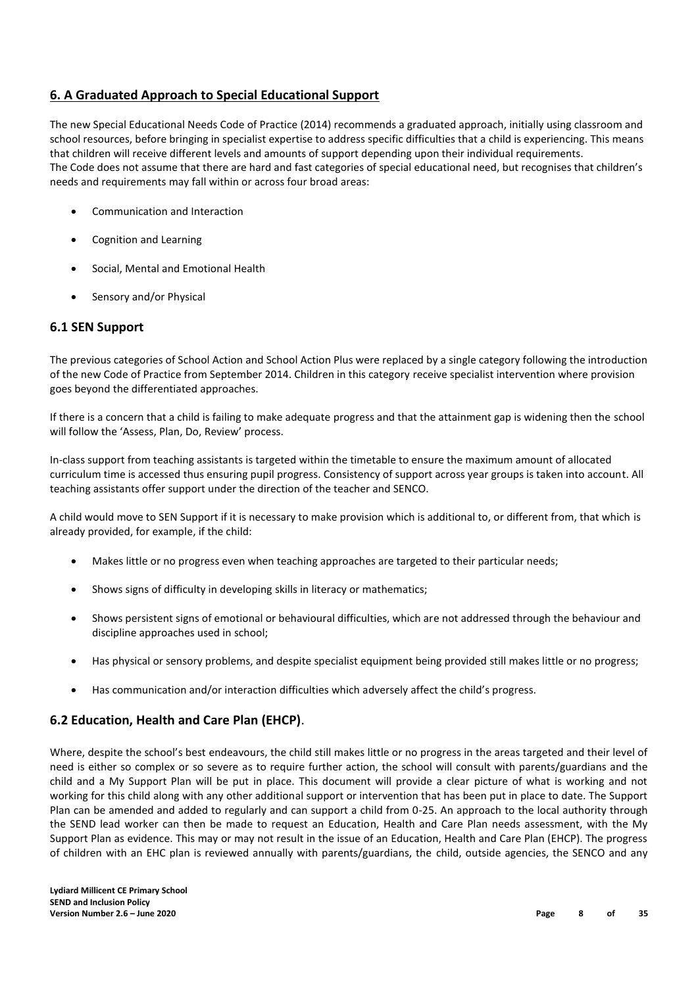### **6. A Graduated Approach to Special Educational Support**

The new Special Educational Needs Code of Practice (2014) recommends a graduated approach, initially using classroom and school resources, before bringing in specialist expertise to address specific difficulties that a child is experiencing. This means that children will receive different levels and amounts of support depending upon their individual requirements. The Code does not assume that there are hard and fast categories of special educational need, but recognises that children's needs and requirements may fall within or across four broad areas:

- Communication and Interaction
- Cognition and Learning
- Social, Mental and Emotional Health
- Sensory and/or Physical

### **6.1 SEN Support**

The previous categories of School Action and School Action Plus were replaced by a single category following the introduction of the new Code of Practice from September 2014. Children in this category receive specialist intervention where provision goes beyond the differentiated approaches.

If there is a concern that a child is failing to make adequate progress and that the attainment gap is widening then the school will follow the 'Assess, Plan, Do, Review' process.

In-class support from teaching assistants is targeted within the timetable to ensure the maximum amount of allocated curriculum time is accessed thus ensuring pupil progress. Consistency of support across year groups is taken into account. All teaching assistants offer support under the direction of the teacher and SENCO.

A child would move to SEN Support if it is necessary to make provision which is additional to, or different from, that which is already provided, for example, if the child:

- Makes little or no progress even when teaching approaches are targeted to their particular needs;
- Shows signs of difficulty in developing skills in literacy or mathematics;
- Shows persistent signs of emotional or behavioural difficulties, which are not addressed through the behaviour and discipline approaches used in school;
- Has physical or sensory problems, and despite specialist equipment being provided still makes little or no progress;
- Has communication and/or interaction difficulties which adversely affect the child's progress.

### **6.2 Education, Health and Care Plan (EHCP)**.

Where, despite the school's best endeavours, the child still makes little or no progress in the areas targeted and their level of need is either so complex or so severe as to require further action, the school will consult with parents/guardians and the child and a My Support Plan will be put in place. This document will provide a clear picture of what is working and not working for this child along with any other additional support or intervention that has been put in place to date. The Support Plan can be amended and added to regularly and can support a child from 0-25. An approach to the local authority through the SEND lead worker can then be made to request an Education, Health and Care Plan needs assessment, with the My Support Plan as evidence. This may or may not result in the issue of an Education, Health and Care Plan (EHCP). The progress of children with an EHC plan is reviewed annually with parents/guardians, the child, outside agencies, the SENCO and any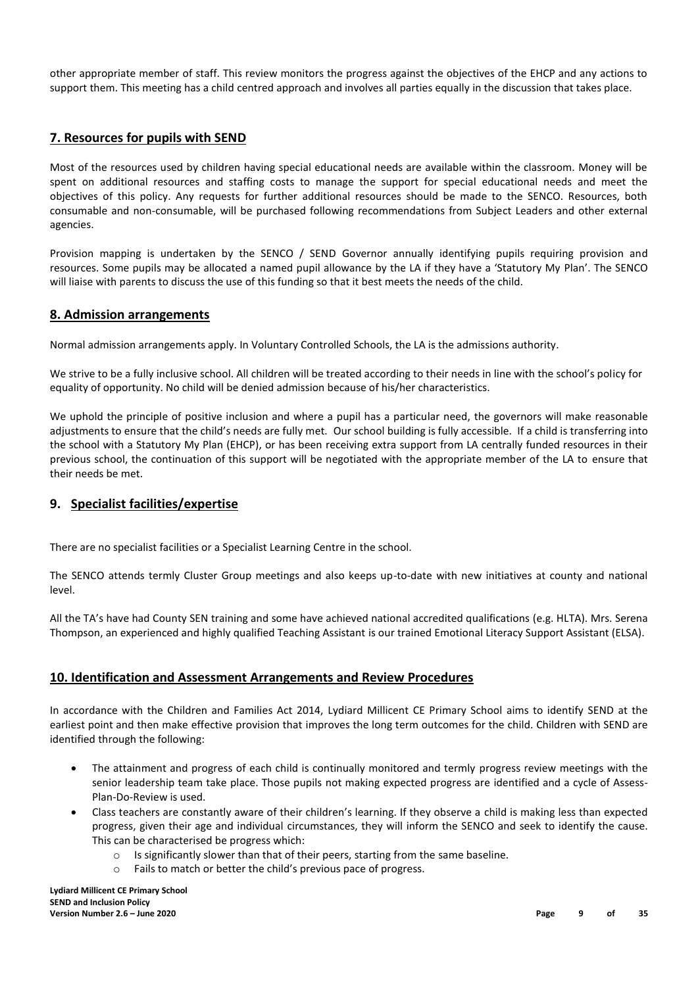other appropriate member of staff. This review monitors the progress against the objectives of the EHCP and any actions to support them. This meeting has a child centred approach and involves all parties equally in the discussion that takes place.

#### **7. Resources for pupils with SEND**

Most of the resources used by children having special educational needs are available within the classroom. Money will be spent on additional resources and staffing costs to manage the support for special educational needs and meet the objectives of this policy. Any requests for further additional resources should be made to the SENCO. Resources, both consumable and non-consumable, will be purchased following recommendations from Subject Leaders and other external agencies.

Provision mapping is undertaken by the SENCO / SEND Governor annually identifying pupils requiring provision and resources. Some pupils may be allocated a named pupil allowance by the LA if they have a 'Statutory My Plan'. The SENCO will liaise with parents to discuss the use of this funding so that it best meets the needs of the child.

#### **8. Admission arrangements**

Normal admission arrangements apply. In Voluntary Controlled Schools, the LA is the admissions authority.

We strive to be a fully inclusive school. All children will be treated according to their needs in line with the school's policy for equality of opportunity. No child will be denied admission because of his/her characteristics.

We uphold the principle of positive inclusion and where a pupil has a particular need, the governors will make reasonable adjustments to ensure that the child's needs are fully met. Our school building is fully accessible. If a child is transferring into the school with a Statutory My Plan (EHCP), or has been receiving extra support from LA centrally funded resources in their previous school, the continuation of this support will be negotiated with the appropriate member of the LA to ensure that their needs be met.

#### **9. Specialist facilities/expertise**

There are no specialist facilities or a Specialist Learning Centre in the school.

The SENCO attends termly Cluster Group meetings and also keeps up-to-date with new initiatives at county and national level.

All the TA's have had County SEN training and some have achieved national accredited qualifications (e.g. HLTA). Mrs. Serena Thompson, an experienced and highly qualified Teaching Assistant is our trained Emotional Literacy Support Assistant (ELSA).

#### **10. Identification and Assessment Arrangements and Review Procedures**

In accordance with the Children and Families Act 2014, Lydiard Millicent CE Primary School aims to identify SEND at the earliest point and then make effective provision that improves the long term outcomes for the child. Children with SEND are identified through the following:

- The attainment and progress of each child is continually monitored and termly progress review meetings with the senior leadership team take place. Those pupils not making expected progress are identified and a cycle of Assess-Plan-Do-Review is used.
- Class teachers are constantly aware of their children's learning. If they observe a child is making less than expected progress, given their age and individual circumstances, they will inform the SENCO and seek to identify the cause. This can be characterised be progress which:
	- $\circ$  Is significantly slower than that of their peers, starting from the same baseline.
	- o Fails to match or better the child's previous pace of progress.

**Lydiard Millicent CE Primary School SEND and Inclusion Policy Version Number 2.6 – June 2020 Page 9 of 35**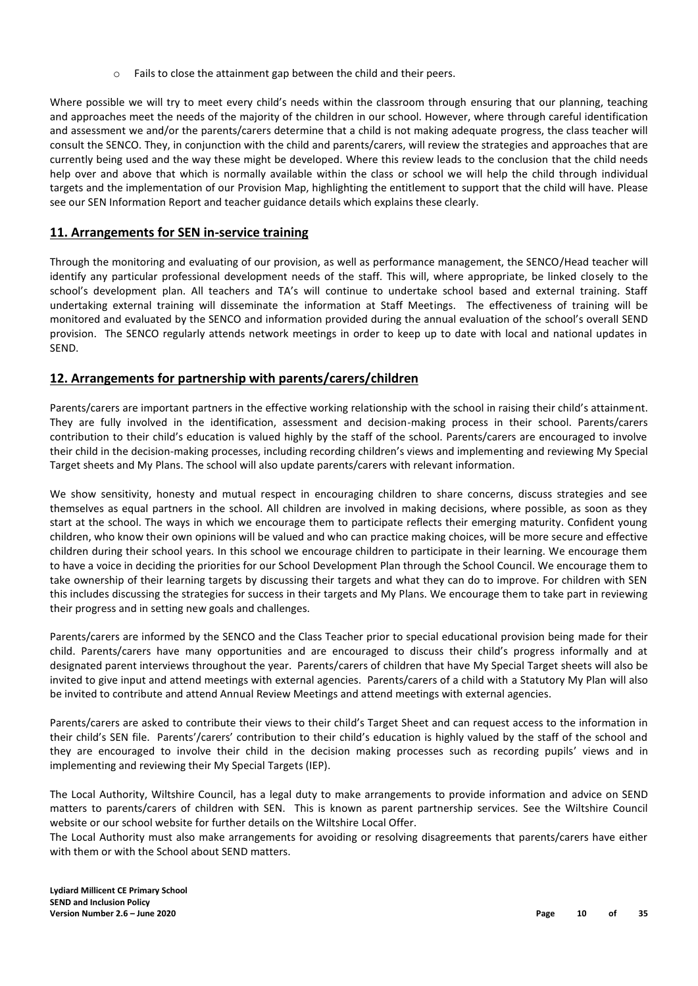o Fails to close the attainment gap between the child and their peers.

Where possible we will try to meet every child's needs within the classroom through ensuring that our planning, teaching and approaches meet the needs of the majority of the children in our school. However, where through careful identification and assessment we and/or the parents/carers determine that a child is not making adequate progress, the class teacher will consult the SENCO. They, in conjunction with the child and parents/carers, will review the strategies and approaches that are currently being used and the way these might be developed. Where this review leads to the conclusion that the child needs help over and above that which is normally available within the class or school we will help the child through individual targets and the implementation of our Provision Map, highlighting the entitlement to support that the child will have. Please see our SEN Information Report and teacher guidance details which explains these clearly.

#### **11. Arrangements for SEN in-service training**

Through the monitoring and evaluating of our provision, as well as performance management, the SENCO/Head teacher will identify any particular professional development needs of the staff. This will, where appropriate, be linked closely to the school's development plan. All teachers and TA's will continue to undertake school based and external training. Staff undertaking external training will disseminate the information at Staff Meetings. The effectiveness of training will be monitored and evaluated by the SENCO and information provided during the annual evaluation of the school's overall SEND provision. The SENCO regularly attends network meetings in order to keep up to date with local and national updates in SEND.

#### **12. Arrangements for partnership with parents/carers/children**

Parents/carers are important partners in the effective working relationship with the school in raising their child's attainment. They are fully involved in the identification, assessment and decision-making process in their school. Parents/carers contribution to their child's education is valued highly by the staff of the school. Parents/carers are encouraged to involve their child in the decision-making processes, including recording children's views and implementing and reviewing My Special Target sheets and My Plans. The school will also update parents/carers with relevant information.

We show sensitivity, honesty and mutual respect in encouraging children to share concerns, discuss strategies and see themselves as equal partners in the school. All children are involved in making decisions, where possible, as soon as they start at the school. The ways in which we encourage them to participate reflects their emerging maturity. Confident young children, who know their own opinions will be valued and who can practice making choices, will be more secure and effective children during their school years. In this school we encourage children to participate in their learning. We encourage them to have a voice in deciding the priorities for our School Development Plan through the School Council. We encourage them to take ownership of their learning targets by discussing their targets and what they can do to improve. For children with SEN this includes discussing the strategies for success in their targets and My Plans. We encourage them to take part in reviewing their progress and in setting new goals and challenges.

Parents/carers are informed by the SENCO and the Class Teacher prior to special educational provision being made for their child. Parents/carers have many opportunities and are encouraged to discuss their child's progress informally and at designated parent interviews throughout the year. Parents/carers of children that have My Special Target sheets will also be invited to give input and attend meetings with external agencies. Parents/carers of a child with a Statutory My Plan will also be invited to contribute and attend Annual Review Meetings and attend meetings with external agencies.

Parents/carers are asked to contribute their views to their child's Target Sheet and can request access to the information in their child's SEN file. Parents'/carers' contribution to their child's education is highly valued by the staff of the school and they are encouraged to involve their child in the decision making processes such as recording pupils' views and in implementing and reviewing their My Special Targets (IEP).

The Local Authority, Wiltshire Council, has a legal duty to make arrangements to provide information and advice on SEND matters to parents/carers of children with SEN. This is known as parent partnership services. See the Wiltshire Council website or our school website for further details on the Wiltshire Local Offer.

The Local Authority must also make arrangements for avoiding or resolving disagreements that parents/carers have either with them or with the School about SEND matters.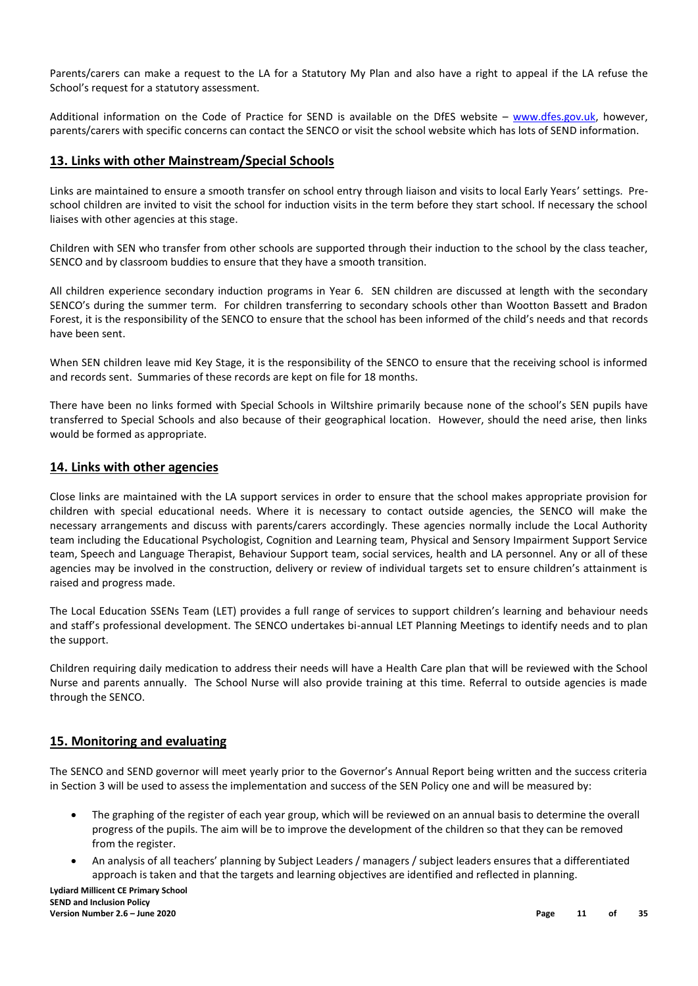Parents/carers can make a request to the LA for a Statutory My Plan and also have a right to appeal if the LA refuse the School's request for a statutory assessment.

Additional information on the Code of Practice for SEND is available on the DfES website – [www.dfes.gov.uk,](http://www.dfes.gov.uk/) however, parents/carers with specific concerns can contact the SENCO or visit the school website which has lots of SEND information.

#### **13. Links with other Mainstream/Special Schools**

Links are maintained to ensure a smooth transfer on school entry through liaison and visits to local Early Years' settings. Preschool children are invited to visit the school for induction visits in the term before they start school. If necessary the school liaises with other agencies at this stage.

Children with SEN who transfer from other schools are supported through their induction to the school by the class teacher, SENCO and by classroom buddies to ensure that they have a smooth transition.

All children experience secondary induction programs in Year 6. SEN children are discussed at length with the secondary SENCO's during the summer term. For children transferring to secondary schools other than Wootton Bassett and Bradon Forest, it is the responsibility of the SENCO to ensure that the school has been informed of the child's needs and that records have been sent.

When SEN children leave mid Key Stage, it is the responsibility of the SENCO to ensure that the receiving school is informed and records sent. Summaries of these records are kept on file for 18 months.

There have been no links formed with Special Schools in Wiltshire primarily because none of the school's SEN pupils have transferred to Special Schools and also because of their geographical location. However, should the need arise, then links would be formed as appropriate.

#### **14. Links with other agencies**

Close links are maintained with the LA support services in order to ensure that the school makes appropriate provision for children with special educational needs. Where it is necessary to contact outside agencies, the SENCO will make the necessary arrangements and discuss with parents/carers accordingly. These agencies normally include the Local Authority team including the Educational Psychologist, Cognition and Learning team, Physical and Sensory Impairment Support Service team, Speech and Language Therapist, Behaviour Support team, social services, health and LA personnel. Any or all of these agencies may be involved in the construction, delivery or review of individual targets set to ensure children's attainment is raised and progress made.

The Local Education SSENs Team (LET) provides a full range of services to support children's learning and behaviour needs and staff's professional development. The SENCO undertakes bi-annual LET Planning Meetings to identify needs and to plan the support.

Children requiring daily medication to address their needs will have a Health Care plan that will be reviewed with the School Nurse and parents annually. The School Nurse will also provide training at this time. Referral to outside agencies is made through the SENCO.

#### **15. Monitoring and evaluating**

The SENCO and SEND governor will meet yearly prior to the Governor's Annual Report being written and the success criteria in Section 3 will be used to assess the implementation and success of the SEN Policy one and will be measured by:

- The graphing of the register of each year group, which will be reviewed on an annual basis to determine the overall progress of the pupils. The aim will be to improve the development of the children so that they can be removed from the register.
- An analysis of all teachers' planning by Subject Leaders / managers / subject leaders ensures that a differentiated approach is taken and that the targets and learning objectives are identified and reflected in planning.

**Lydiard Millicent CE Primary School SEND and Inclusion Policy Version Number 2.6 – June 2020 Page 11 of 35**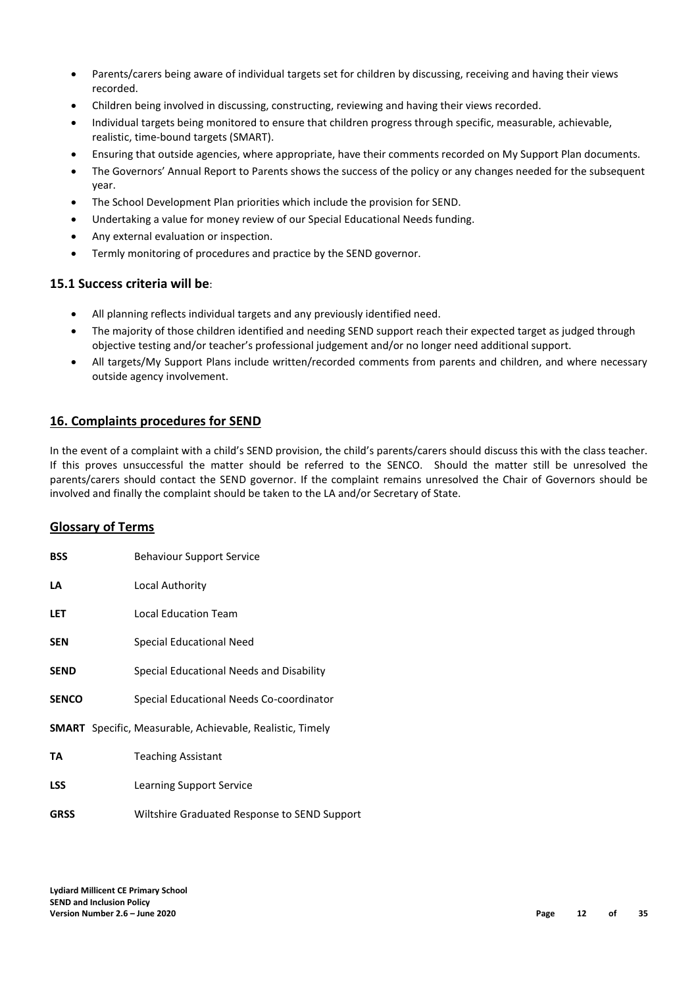- Parents/carers being aware of individual targets set for children by discussing, receiving and having their views recorded.
- Children being involved in discussing, constructing, reviewing and having their views recorded.
- Individual targets being monitored to ensure that children progress through specific, measurable, achievable, realistic, time-bound targets (SMART).
- Ensuring that outside agencies, where appropriate, have their comments recorded on My Support Plan documents.
- The Governors' Annual Report to Parents shows the success of the policy or any changes needed for the subsequent year.
- The School Development Plan priorities which include the provision for SEND.
- Undertaking a value for money review of our Special Educational Needs funding.
- Any external evaluation or inspection.
- Termly monitoring of procedures and practice by the SEND governor.

#### **15.1 Success criteria will be**:

- All planning reflects individual targets and any previously identified need.
- The majority of those children identified and needing SEND support reach their expected target as judged through objective testing and/or teacher's professional judgement and/or no longer need additional support.
- All targets/My Support Plans include written/recorded comments from parents and children, and where necessary outside agency involvement.

#### **16. Complaints procedures for SEND**

In the event of a complaint with a child's SEND provision, the child's parents/carers should discuss this with the class teacher. If this proves unsuccessful the matter should be referred to the SENCO. Should the matter still be unresolved the parents/carers should contact the SEND governor. If the complaint remains unresolved the Chair of Governors should be involved and finally the complaint should be taken to the LA and/or Secretary of State.

#### **Glossary of Terms**

| <b>BSS</b>   | <b>Behaviour Support Service</b>                                 |
|--------------|------------------------------------------------------------------|
| LA           | Local Authority                                                  |
| <b>LET</b>   | <b>Local Education Team</b>                                      |
| <b>SEN</b>   | <b>Special Educational Need</b>                                  |
| <b>SEND</b>  | Special Educational Needs and Disability                         |
| <b>SENCO</b> | Special Educational Needs Co-coordinator                         |
|              | <b>SMART</b> Specific, Measurable, Achievable, Realistic, Timely |
| TA           | <b>Teaching Assistant</b>                                        |
| <b>LSS</b>   | Learning Support Service                                         |
| <b>GRSS</b>  | Wiltshire Graduated Response to SEND Support                     |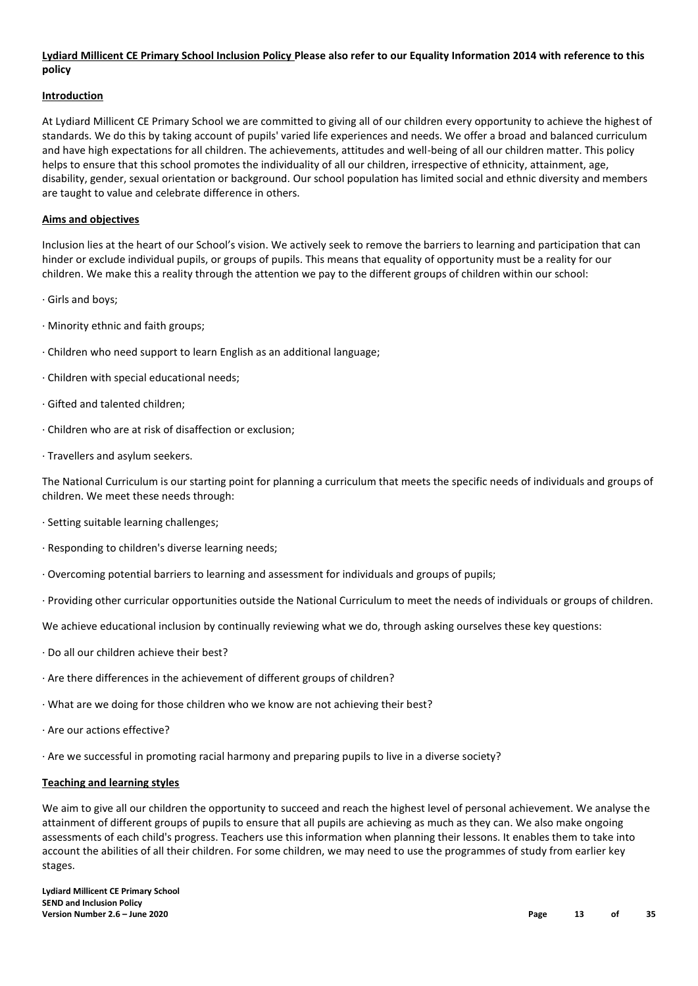#### **Lydiard Millicent CE Primary School Inclusion Policy Please also refer to our Equality Information 2014 with reference to this policy**

#### **Introduction**

At Lydiard Millicent CE Primary School we are committed to giving all of our children every opportunity to achieve the highest of standards. We do this by taking account of pupils' varied life experiences and needs. We offer a broad and balanced curriculum and have high expectations for all children. The achievements, attitudes and well-being of all our children matter. This policy helps to ensure that this school promotes the individuality of all our children, irrespective of ethnicity, attainment, age, disability, gender, sexual orientation or background. Our school population has limited social and ethnic diversity and members are taught to value and celebrate difference in others.

#### **Aims and objectives**

Inclusion lies at the heart of our School's vision. We actively seek to remove the barriers to learning and participation that can hinder or exclude individual pupils, or groups of pupils. This means that equality of opportunity must be a reality for our children. We make this a reality through the attention we pay to the different groups of children within our school:

- · Girls and boys;
- · Minority ethnic and faith groups;
- · Children who need support to learn English as an additional language;
- · Children with special educational needs;
- · Gifted and talented children;
- · Children who are at risk of disaffection or exclusion;
- · Travellers and asylum seekers.

The National Curriculum is our starting point for planning a curriculum that meets the specific needs of individuals and groups of children. We meet these needs through:

- · Setting suitable learning challenges;
- · Responding to children's diverse learning needs;
- · Overcoming potential barriers to learning and assessment for individuals and groups of pupils;
- · Providing other curricular opportunities outside the National Curriculum to meet the needs of individuals or groups of children.

We achieve educational inclusion by continually reviewing what we do, through asking ourselves these key questions:

- · Do all our children achieve their best?
- · Are there differences in the achievement of different groups of children?
- · What are we doing for those children who we know are not achieving their best?
- · Are our actions effective?
- · Are we successful in promoting racial harmony and preparing pupils to live in a diverse society?

#### **Teaching and learning styles**

We aim to give all our children the opportunity to succeed and reach the highest level of personal achievement. We analyse the attainment of different groups of pupils to ensure that all pupils are achieving as much as they can. We also make ongoing assessments of each child's progress. Teachers use this information when planning their lessons. It enables them to take into account the abilities of all their children. For some children, we may need to use the programmes of study from earlier key stages.

**Lydiard Millicent CE Primary School SEND and Inclusion Policy Version Number 2.6 – June 2020 Page 13 of 35**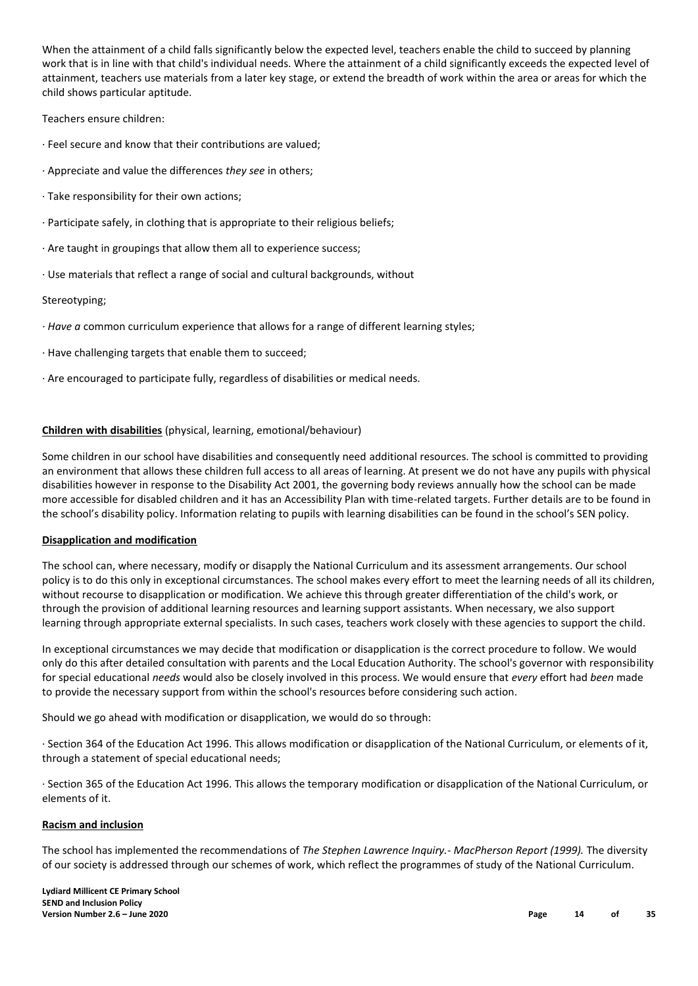When the attainment of a child falls significantly below the expected level, teachers enable the child to succeed by planning work that is in line with that child's individual needs. Where the attainment of a child significantly exceeds the expected level of attainment, teachers use materials from a later key stage, or extend the breadth of work within the area or areas for which the child shows particular aptitude.

Teachers ensure children:

- · Feel secure and know that their contributions are valued;
- · Appreciate and value the differences *they see* in others;
- · Take responsibility for their own actions;
- · Participate safely, in clothing that is appropriate to their religious beliefs;
- · Are taught in groupings that allow them all to experience success;
- · Use materials that reflect a range of social and cultural backgrounds, without

#### Stereotyping;

- *· Have a* common curriculum experience that allows for a range of different learning styles;
- · Have challenging targets that enable them to succeed;
- · Are encouraged to participate fully, regardless of disabilities or medical needs.

#### **Children with disabilities** (physical, learning, emotional/behaviour)

Some children in our school have disabilities and consequently need additional resources. The school is committed to providing an environment that allows these children full access to all areas of learning. At present we do not have any pupils with physical disabilities however in response to the Disability Act 2001, the governing body reviews annually how the school can be made more accessible for disabled children and it has an Accessibility Plan with time-related targets. Further details are to be found in the school's disability policy. Information relating to pupils with learning disabilities can be found in the school's SEN policy.

#### **Disapplication and modification**

The school can, where necessary, modify or disapply the National Curriculum and its assessment arrangements. Our school policy is to do this only in exceptional circumstances. The school makes every effort to meet the learning needs of all its children, without recourse to disapplication or modification. We achieve this through greater differentiation of the child's work, or through the provision of additional learning resources and learning support assistants. When necessary, we also support learning through appropriate external specialists. In such cases, teachers work closely with these agencies to support the child.

In exceptional circumstances we may decide that modification or disapplication is the correct procedure to follow. We would only do this after detailed consultation with parents and the Local Education Authority. The school's governor with responsibility for special educational *needs* would also be closely involved in this process. We would ensure that *every* effort had *been* made to provide the necessary support from within the school's resources before considering such action.

Should we go ahead with modification or disapplication, we would do so through:

· Section 364 of the Education Act 1996. This allows modification or disapplication of the National Curriculum, or elements of it, through a statement of special educational needs;

· Section 365 of the Education Act 1996. This allows the temporary modification or disapplication of the National Curriculum, or elements of it.

#### **Racism and inclusion**

The school has implemented the recommendations of *The Stephen Lawrence Inquiry.- MacPherson Report (1999).* The diversity of our society is addressed through our schemes of work, which reflect the programmes of study of the National Curriculum.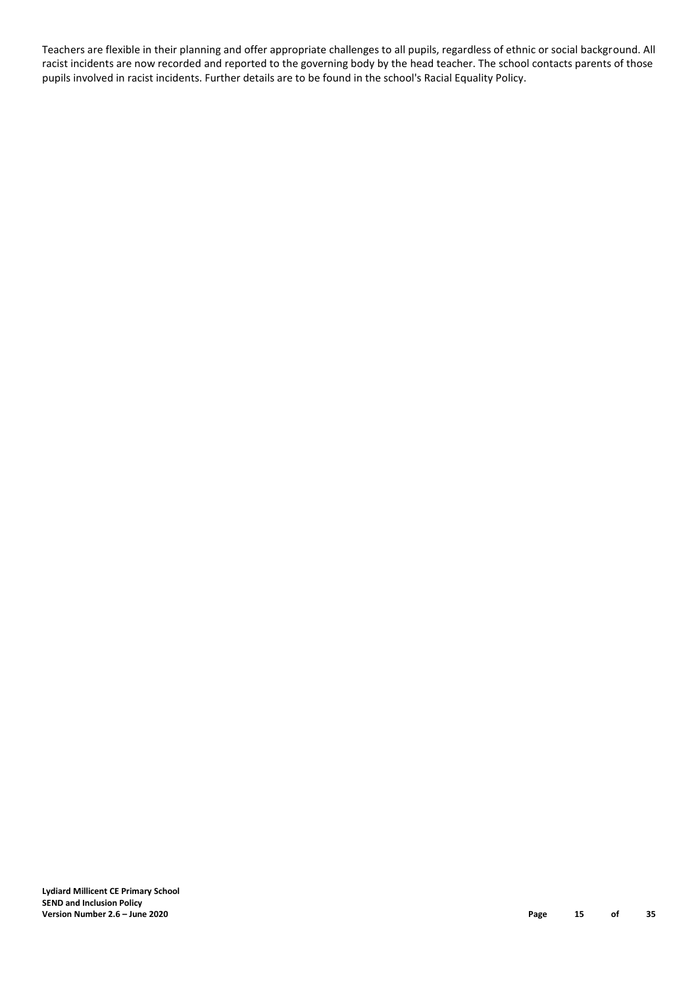Teachers are flexible in their planning and offer appropriate challenges to all pupils, regardless of ethnic or social background. All racist incidents are now recorded and reported to the governing body by the head teacher. The school contacts parents of those pupils involved in racist incidents. Further details are to be found in the school's Racial Equality Policy.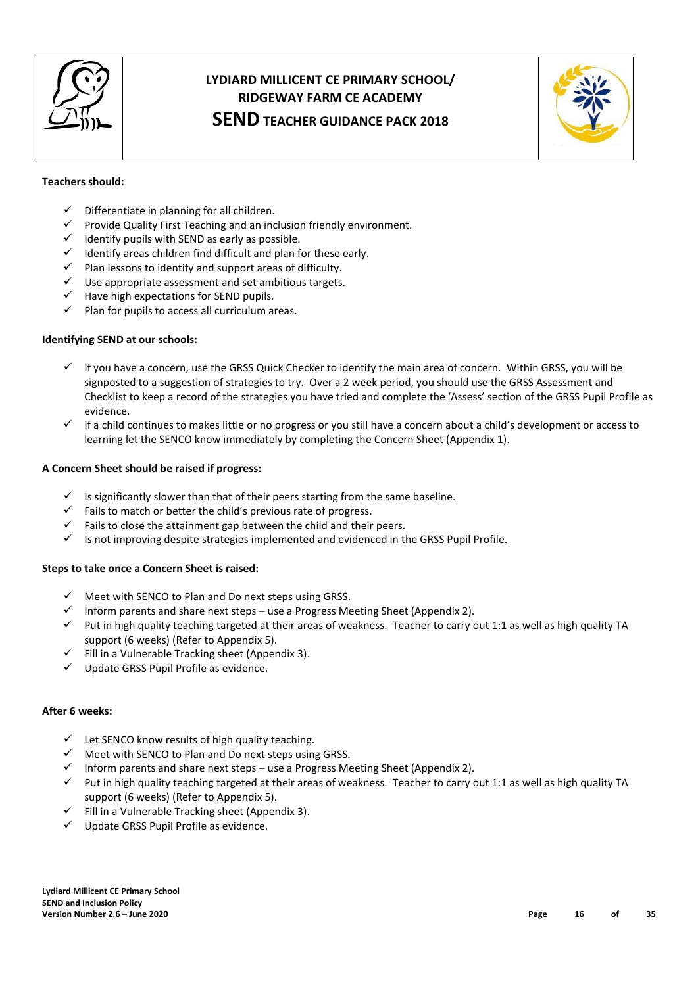

# **LYDIARD MILLICENT CE PRIMARY SCHOOL/ RIDGEWAY FARM CE ACADEMY**

# **SEND TEACHER GUIDANCE PACK 2018**



#### **Teachers should:**

- $\checkmark$  Differentiate in planning for all children.
- $\checkmark$  Provide Quality First Teaching and an inclusion friendly environment.
- $\checkmark$  Identify pupils with SEND as early as possible.
- $\checkmark$  Identify areas children find difficult and plan for these early.
- $\checkmark$  Plan lessons to identify and support areas of difficulty.
- $\checkmark$  Use appropriate assessment and set ambitious targets.
- $\checkmark$  Have high expectations for SEND pupils.
- $\checkmark$  Plan for pupils to access all curriculum areas.

#### **Identifying SEND at our schools:**

- $\checkmark$  If you have a concern, use the GRSS Quick Checker to identify the main area of concern. Within GRSS, you will be signposted to a suggestion of strategies to try. Over a 2 week period, you should use the GRSS Assessment and Checklist to keep a record of the strategies you have tried and complete the 'Assess' section of the GRSS Pupil Profile as evidence.
- $\checkmark$  If a child continues to makes little or no progress or you still have a concern about a child's development or access to learning let the SENCO know immediately by completing the Concern Sheet (Appendix 1).

#### **A Concern Sheet should be raised if progress:**

- $\checkmark$  Is significantly slower than that of their peers starting from the same baseline.
- $\checkmark$  Fails to match or better the child's previous rate of progress.
- $\checkmark$  Fails to close the attainment gap between the child and their peers.
- $\checkmark$  Is not improving despite strategies implemented and evidenced in the GRSS Pupil Profile.

#### **Steps to take once a Concern Sheet is raised:**

- $\checkmark$  Meet with SENCO to Plan and Do next steps using GRSS.
- $\checkmark$  Inform parents and share next steps use a Progress Meeting Sheet (Appendix 2).
- $\checkmark$  Put in high quality teaching targeted at their areas of weakness. Teacher to carry out 1:1 as well as high quality TA support (6 weeks) (Refer to Appendix 5).
- $\checkmark$  Fill in a Vulnerable Tracking sheet (Appendix 3).
- $\checkmark$  Update GRSS Pupil Profile as evidence.

#### **After 6 weeks:**

- $\checkmark$  Let SENCO know results of high quality teaching.
- $\checkmark$  Meet with SENCO to Plan and Do next steps using GRSS.
- $\checkmark$  Inform parents and share next steps use a Progress Meeting Sheet (Appendix 2).
- $\checkmark$  Put in high quality teaching targeted at their areas of weakness. Teacher to carry out 1:1 as well as high quality TA support (6 weeks) (Refer to Appendix 5).
- $\checkmark$  Fill in a Vulnerable Tracking sheet (Appendix 3).
- $\checkmark$  Update GRSS Pupil Profile as evidence.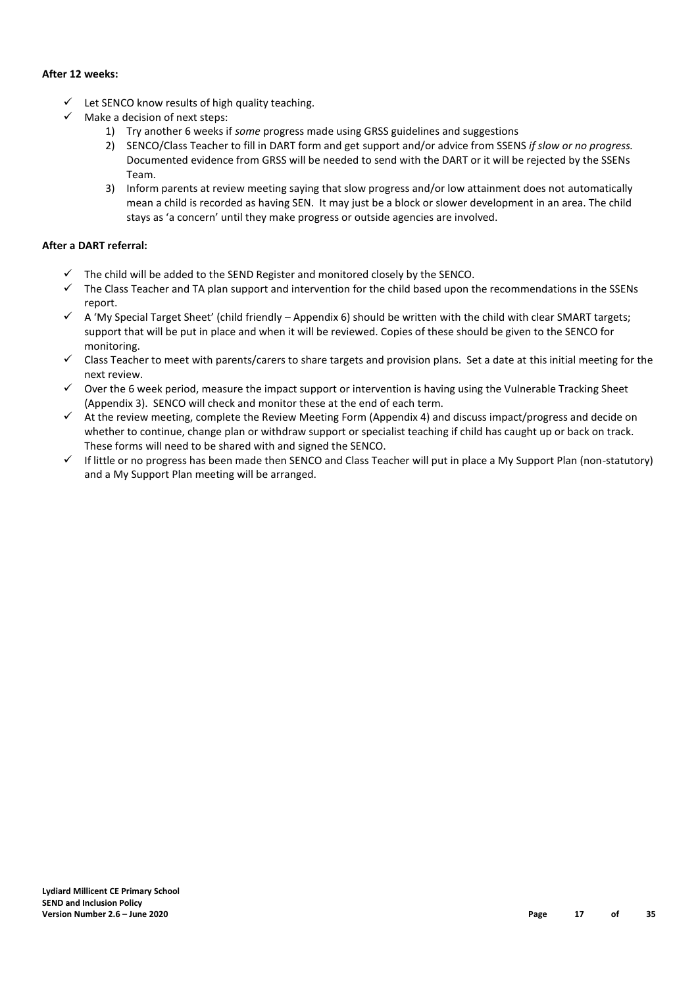#### **After 12 weeks:**

- $\checkmark$  Let SENCO know results of high quality teaching.
- $\checkmark$  Make a decision of next steps:
	- 1) Try another 6 weeks if *some* progress made using GRSS guidelines and suggestions
	- 2) SENCO/Class Teacher to fill in DART form and get support and/or advice from SSENS *if slow or no progress.*  Documented evidence from GRSS will be needed to send with the DART or it will be rejected by the SSENs Team.
	- 3) Inform parents at review meeting saying that slow progress and/or low attainment does not automatically mean a child is recorded as having SEN. It may just be a block or slower development in an area. The child stays as 'a concern' until they make progress or outside agencies are involved.

#### **After a DART referral:**

- The child will be added to the SEND Register and monitored closely by the SENCO.
- $\checkmark$  The Class Teacher and TA plan support and intervention for the child based upon the recommendations in the SSENs report.
- $\checkmark$  A 'My Special Target Sheet' (child friendly Appendix 6) should be written with the child with clear SMART targets; support that will be put in place and when it will be reviewed. Copies of these should be given to the SENCO for monitoring.
- $\checkmark$  Class Teacher to meet with parents/carers to share targets and provision plans. Set a date at this initial meeting for the next review.
- $\checkmark$  Over the 6 week period, measure the impact support or intervention is having using the Vulnerable Tracking Sheet (Appendix 3). SENCO will check and monitor these at the end of each term.
- $\checkmark$  At the review meeting, complete the Review Meeting Form (Appendix 4) and discuss impact/progress and decide on whether to continue, change plan or withdraw support or specialist teaching if child has caught up or back on track. These forms will need to be shared with and signed the SENCO.
- $\checkmark$  If little or no progress has been made then SENCO and Class Teacher will put in place a My Support Plan (non-statutory) and a My Support Plan meeting will be arranged.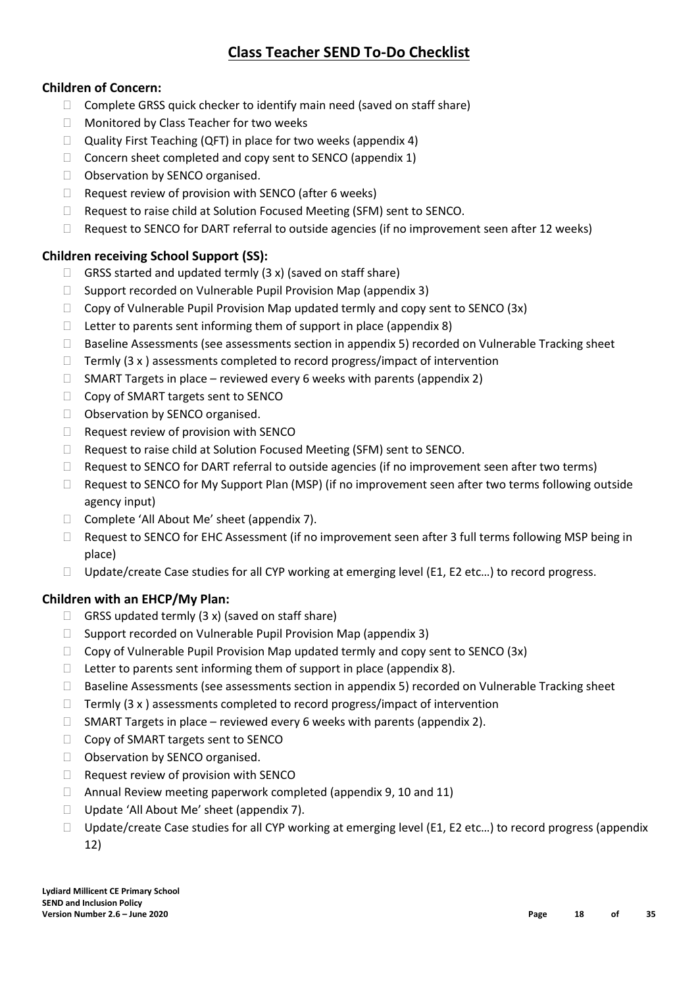# **Class Teacher SEND To-Do Checklist**

# **Children of Concern:**

- $\Box$  Complete GRSS quick checker to identify main need (saved on staff share)
- □ Monitored by Class Teacher for two weeks
- $\Box$  Quality First Teaching (QFT) in place for two weeks (appendix 4)
- $\Box$  Concern sheet completed and copy sent to SENCO (appendix 1)
- □ Observation by SENCO organised.
- $\Box$  Request review of provision with SENCO (after 6 weeks)
- □ Request to raise child at Solution Focused Meeting (SFM) sent to SENCO.
- $\Box$  Request to SENCO for DART referral to outside agencies (if no improvement seen after 12 weeks)

# **Children receiving School Support (SS):**

- $\Box$  GRSS started and updated termly (3 x) (saved on staff share)
- $\Box$  Support recorded on Vulnerable Pupil Provision Map (appendix 3)
- $\Box$  Copy of Vulnerable Pupil Provision Map updated termly and copy sent to SENCO (3x)
- $\Box$  Letter to parents sent informing them of support in place (appendix 8)
- Baseline Assessments (see assessments section in appendix 5) recorded on Vulnerable Tracking sheet
- $\Box$  Termly (3 x ) assessments completed to record progress/impact of intervention
- $\Box$  SMART Targets in place reviewed every 6 weeks with parents (appendix 2)
- □ Copy of SMART targets sent to SENCO
- □ Observation by SENCO organised.
- $\Box$  Request review of provision with SENCO
- □ Request to raise child at Solution Focused Meeting (SFM) sent to SENCO.
- $\Box$  Request to SENCO for DART referral to outside agencies (if no improvement seen after two terms)
- $\Box$  Request to SENCO for My Support Plan (MSP) (if no improvement seen after two terms following outside agency input)
- □ Complete 'All About Me' sheet (appendix 7).
- □ Request to SENCO for EHC Assessment (if no improvement seen after 3 full terms following MSP being in place)
- $\Box$  Update/create Case studies for all CYP working at emerging level (E1, E2 etc...) to record progress.

# **Children with an EHCP/My Plan:**

- $\Box$  GRSS updated termly (3 x) (saved on staff share)
- $\Box$  Support recorded on Vulnerable Pupil Provision Map (appendix 3)
- $\Box$  Copy of Vulnerable Pupil Provision Map updated termly and copy sent to SENCO (3x)
- $\Box$  Letter to parents sent informing them of support in place (appendix 8).
- $\square$  Baseline Assessments (see assessments section in appendix 5) recorded on Vulnerable Tracking sheet
- $\Box$  Termly (3 x) assessments completed to record progress/impact of intervention
- $\Box$  SMART Targets in place reviewed every 6 weeks with parents (appendix 2).
- □ Copy of SMART targets sent to SENCO
- □ Observation by SENCO organised.
- □ Request review of provision with SENCO
- $\Box$  Annual Review meeting paperwork completed (appendix 9, 10 and 11)
- □ Update 'All About Me' sheet (appendix 7).
- $\Box$  Update/create Case studies for all CYP working at emerging level (E1, E2 etc...) to record progress (appendix 12)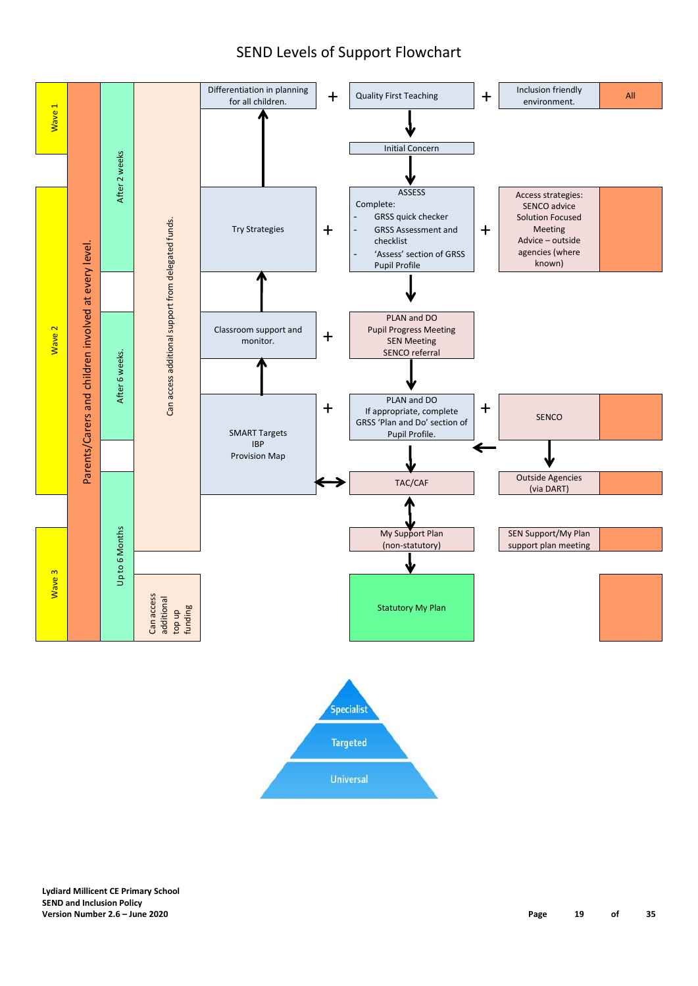# SEND Levels of Support Flowchart

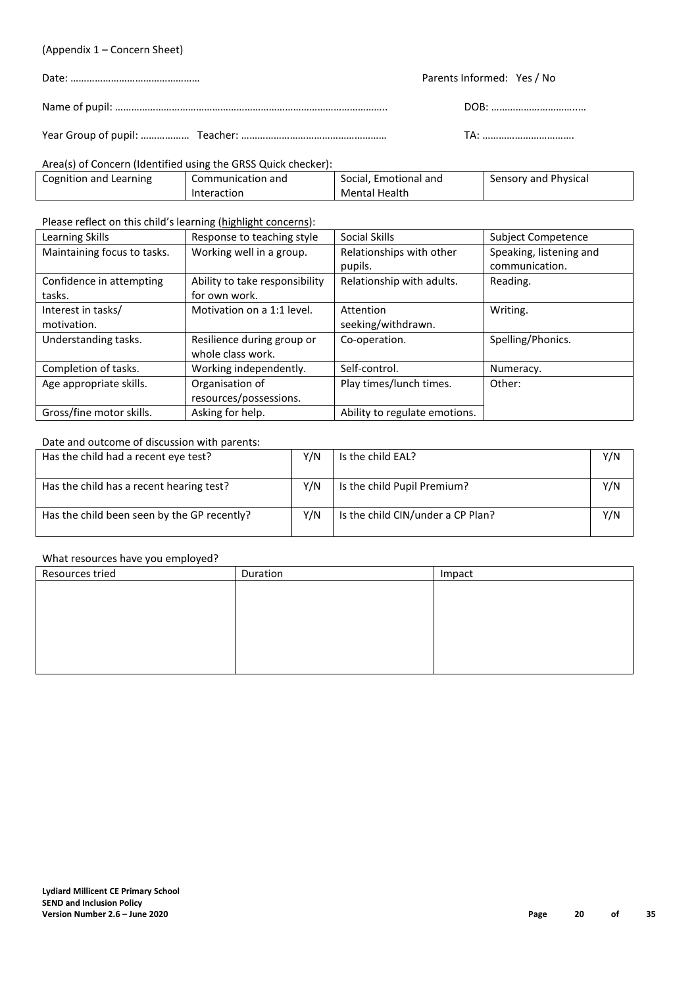#### (Appendix 1 – Concern Sheet)

| Parents Informed: Yes / No |
|----------------------------|
|                            |
|                            |

#### Area(s) of Concern (Identified using the GRSS Quick checker):

| Cognition and Learning | Communication and | Social. Emotional and | Sensory and Physical |
|------------------------|-------------------|-----------------------|----------------------|
|                        | Interaction       | Mental Health         |                      |

Please reflect on this child's learning (highlight concerns):

| Learning Skills             | Response to teaching style     | Social Skills                 | Subject Competence      |
|-----------------------------|--------------------------------|-------------------------------|-------------------------|
| Maintaining focus to tasks. | Working well in a group.       | Relationships with other      | Speaking, listening and |
|                             |                                | pupils.                       | communication.          |
| Confidence in attempting    | Ability to take responsibility | Relationship with adults.     | Reading.                |
| tasks.                      | for own work.                  |                               |                         |
| Interest in tasks/          | Motivation on a 1:1 level.     | Attention                     | Writing.                |
| motivation.                 |                                | seeking/withdrawn.            |                         |
| Understanding tasks.        | Resilience during group or     | Co-operation.                 | Spelling/Phonics.       |
|                             | whole class work.              |                               |                         |
| Completion of tasks.        | Working independently.         | Self-control.                 | Numeracy.               |
| Age appropriate skills.     | Organisation of                | Play times/lunch times.       | Other:                  |
|                             | resources/possessions.         |                               |                         |
| Gross/fine motor skills.    | Asking for help.               | Ability to regulate emotions. |                         |

#### Date and outcome of discussion with parents:

| Has the child had a recent eye test?        | Y/N | Is the child EAL?                 | Y/N |
|---------------------------------------------|-----|-----------------------------------|-----|
| Has the child has a recent hearing test?    | Y/N | Is the child Pupil Premium?       | Y/N |
| Has the child been seen by the GP recently? | Y/N | Is the child CIN/under a CP Plan? | Y/N |

#### What resources have you employed?

| Resources tried | Duration | Impact |
|-----------------|----------|--------|
|                 |          |        |
|                 |          |        |
|                 |          |        |
|                 |          |        |
|                 |          |        |
|                 |          |        |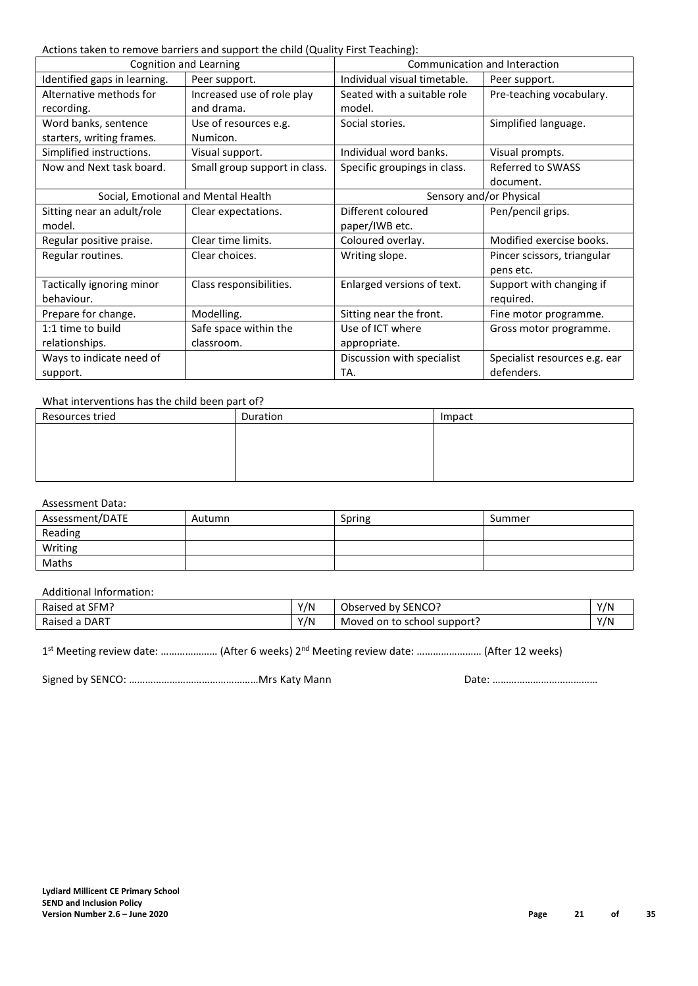Actions taken to remove barriers and support the child (Quality First Teaching):

| Cognition and Learning              |                               | Communication and Interaction |                               |
|-------------------------------------|-------------------------------|-------------------------------|-------------------------------|
| Identified gaps in learning.        | Peer support.                 | Individual visual timetable.  | Peer support.                 |
| Alternative methods for             | Increased use of role play    | Seated with a suitable role   | Pre-teaching vocabulary.      |
| recording.                          | and drama.                    | model.                        |                               |
| Word banks, sentence                | Use of resources e.g.         | Social stories.               | Simplified language.          |
| starters, writing frames.           | Numicon.                      |                               |                               |
| Simplified instructions.            | Visual support.               | Individual word banks.        | Visual prompts.               |
| Now and Next task board.            | Small group support in class. | Specific groupings in class.  | Referred to SWASS             |
|                                     |                               |                               | document.                     |
| Social, Emotional and Mental Health |                               | Sensory and/or Physical       |                               |
| Sitting near an adult/role          | Clear expectations.           | Different coloured            | Pen/pencil grips.             |
| model.                              |                               | paper/IWB etc.                |                               |
| Regular positive praise.            | Clear time limits.            | Coloured overlay.             | Modified exercise books.      |
| Regular routines.                   | Clear choices.                | Writing slope.                | Pincer scissors, triangular   |
|                                     |                               |                               | pens etc.                     |
| Tactically ignoring minor           | Class responsibilities.       | Enlarged versions of text.    | Support with changing if      |
| behaviour.                          |                               |                               | required.                     |
| Prepare for change.                 | Modelling.                    | Sitting near the front.       | Fine motor programme.         |
| 1:1 time to build                   | Safe space within the         | Use of ICT where              | Gross motor programme.        |
| relationships.                      | classroom.                    | appropriate.                  |                               |
| Ways to indicate need of            |                               | Discussion with specialist    | Specialist resources e.g. ear |
| support.                            |                               | TA.                           | defenders.                    |

#### What interventions has the child been part of?

| Resources tried | Duration | Impact |
|-----------------|----------|--------|
|                 |          |        |
|                 |          |        |
|                 |          |        |
|                 |          |        |

#### Assessment Data:

| Assessment/DATE | Autumn | Spring | Summer |
|-----------------|--------|--------|--------|
| Reading         |        |        |        |
| Writing         |        |        |        |
| Maths           |        |        |        |

#### Additional Information:

| Raised at SFM? | Y/N | Observed by SENCO?          | Y/N |
|----------------|-----|-----------------------------|-----|
| Raised a DART  | Y/N | Moved on to school support? | Y/N |

1<sup>st</sup> Meeting review date: ..................... (After 6 weeks) 2<sup>nd</sup> Meeting review date: ......................... (After 12 weeks)

Signed by SENCO: ……………………………………………Mrs Katy Mann Date: ……………………………………………………………………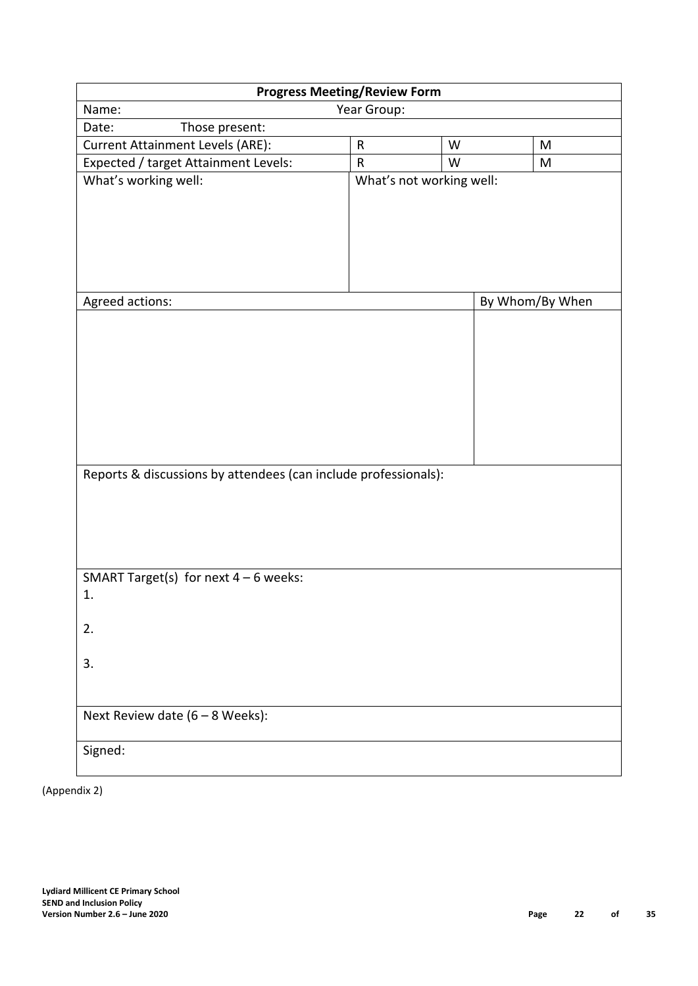| <b>Progress Meeting/Review Form</b>                             |             |                          |  |                 |  |  |  |
|-----------------------------------------------------------------|-------------|--------------------------|--|-----------------|--|--|--|
| Name:                                                           | Year Group: |                          |  |                 |  |  |  |
| Those present:<br>Date:                                         |             |                          |  |                 |  |  |  |
| <b>Current Attainment Levels (ARE):</b>                         | $\sf R$     | W                        |  | M               |  |  |  |
| Expected / target Attainment Levels:                            | $\sf R$     | W                        |  | M               |  |  |  |
| What's working well:                                            |             | What's not working well: |  |                 |  |  |  |
| Agreed actions:                                                 |             |                          |  | By Whom/By When |  |  |  |
| Reports & discussions by attendees (can include professionals): |             |                          |  |                 |  |  |  |
| SMART Target(s) for next $4 - 6$ weeks:                         |             |                          |  |                 |  |  |  |
| 1.                                                              |             |                          |  |                 |  |  |  |
| 2.                                                              |             |                          |  |                 |  |  |  |
| 3.                                                              |             |                          |  |                 |  |  |  |
| Next Review date $(6 - 8$ Weeks):                               |             |                          |  |                 |  |  |  |
| Signed:                                                         |             |                          |  |                 |  |  |  |

(Appendix 2)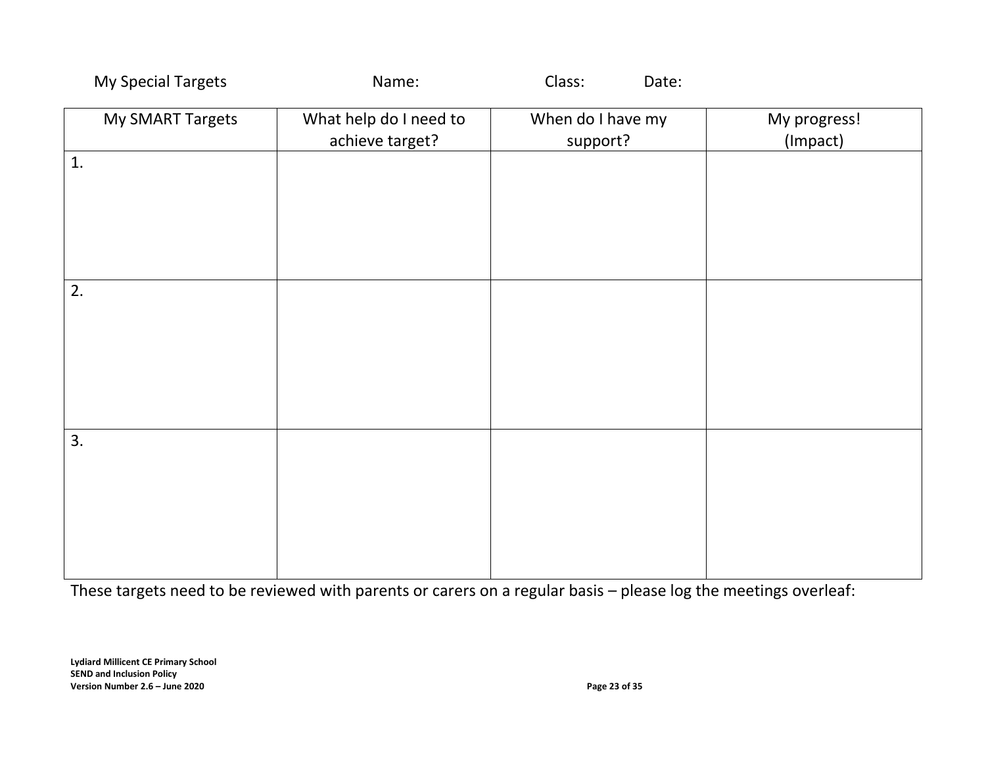| My Special Targets | Name:                                     | Class:<br>Date:               |                          |
|--------------------|-------------------------------------------|-------------------------------|--------------------------|
| My SMART Targets   | What help do I need to<br>achieve target? | When do I have my<br>support? | My progress!<br>(Impact) |
| 1.                 |                                           |                               |                          |
|                    |                                           |                               |                          |
|                    |                                           |                               |                          |
| 2.                 |                                           |                               |                          |
|                    |                                           |                               |                          |
|                    |                                           |                               |                          |
| 3.                 |                                           |                               |                          |
|                    |                                           |                               |                          |
|                    |                                           |                               |                          |
|                    |                                           |                               |                          |
|                    |                                           |                               |                          |

These targets need to be reviewed with parents or carers on a regular basis – please log the meetings overleaf: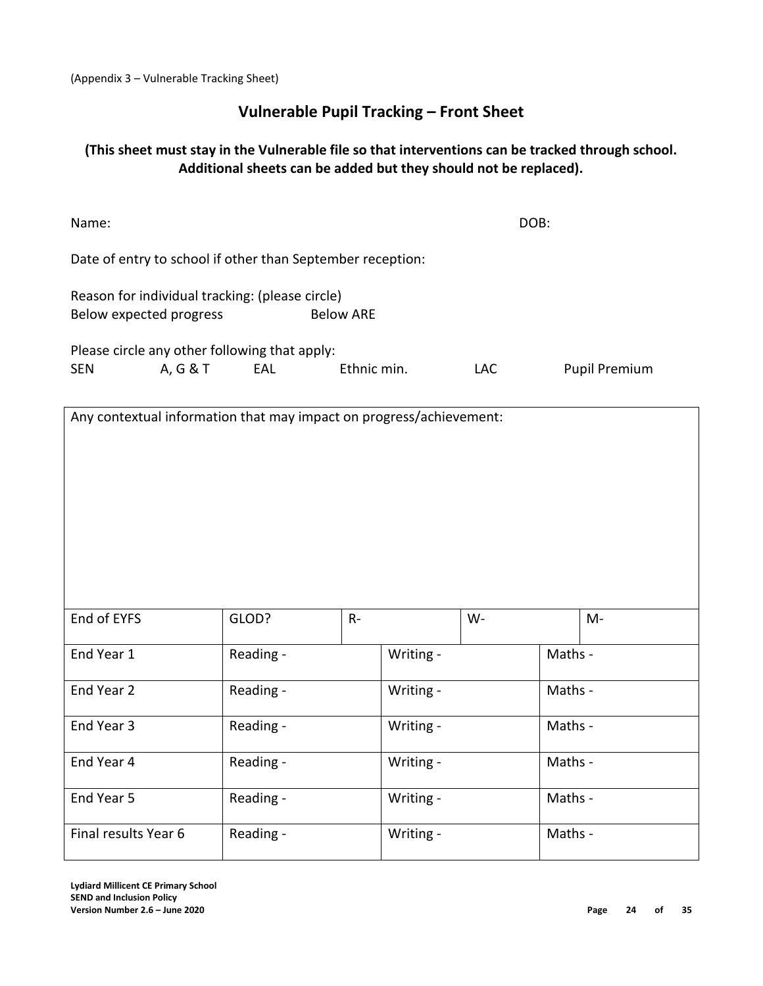(Appendix 3 – Vulnerable Tracking Sheet)

# **Vulnerable Pupil Tracking – Front Sheet**

## **(This sheet must stay in the Vulnerable file so that interventions can be tracked through school. Additional sheets can be added but they should not be replaced).**

| Name:                                                                                          |           |             |           | DOB:       |         |                      |  |
|------------------------------------------------------------------------------------------------|-----------|-------------|-----------|------------|---------|----------------------|--|
| Date of entry to school if other than September reception:                                     |           |             |           |            |         |                      |  |
| Reason for individual tracking: (please circle)<br><b>Below ARE</b><br>Below expected progress |           |             |           |            |         |                      |  |
| Please circle any other following that apply:                                                  |           |             |           |            |         |                      |  |
| A, G & T<br><b>SEN</b>                                                                         | EAL       | Ethnic min. |           | <b>LAC</b> |         | <b>Pupil Premium</b> |  |
| Any contextual information that may impact on progress/achievement:                            |           |             |           |            |         |                      |  |
|                                                                                                |           |             |           |            |         |                      |  |
|                                                                                                |           |             |           |            |         |                      |  |
|                                                                                                |           |             |           |            |         |                      |  |
|                                                                                                |           |             |           |            |         |                      |  |
|                                                                                                |           |             |           |            |         |                      |  |
|                                                                                                |           |             |           |            |         |                      |  |
| End of EYFS                                                                                    | GLOD?     | $R -$       |           | $W -$      |         | $M -$                |  |
| End Year 1                                                                                     | Reading - |             | Writing - |            | Maths - |                      |  |
|                                                                                                |           |             |           |            |         |                      |  |
| End Year 2                                                                                     | Reading - |             | Writing - |            | Maths - |                      |  |
| End Year 3                                                                                     | Reading - |             | Writing - |            | Maths - |                      |  |
| End Year 4                                                                                     | Reading - |             | Writing - |            | Maths - |                      |  |
| End Year 5                                                                                     | Reading - |             | Writing - |            | Maths - |                      |  |
|                                                                                                |           |             |           |            |         |                      |  |
| Final results Year 6                                                                           | Reading - |             | Writing - |            | Maths - |                      |  |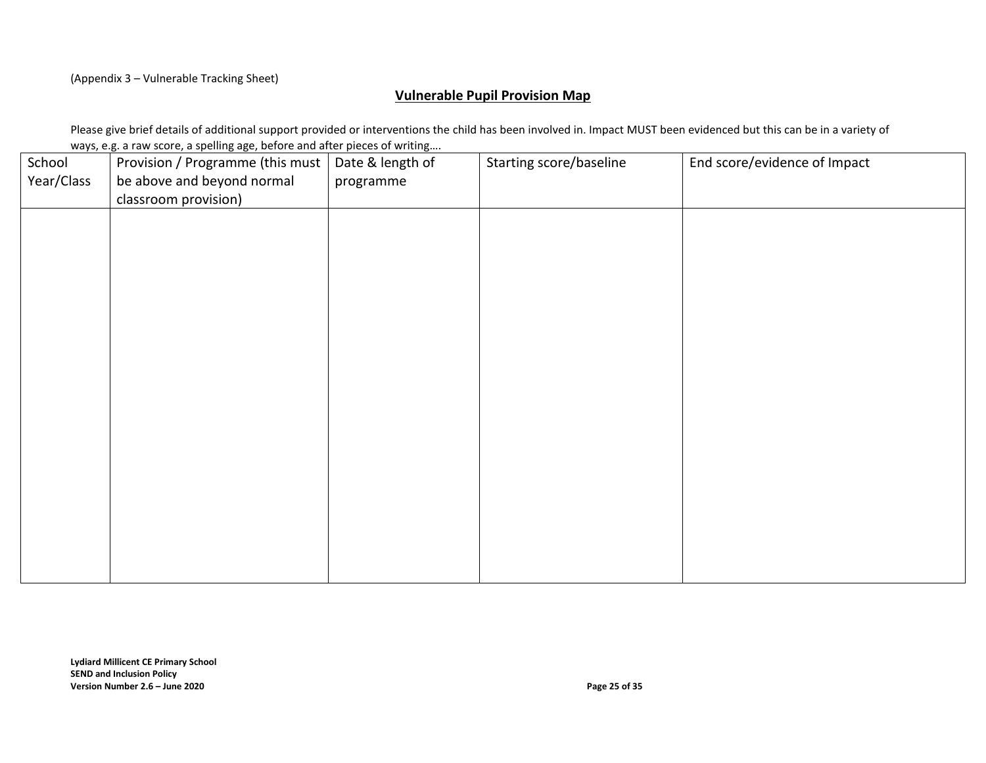(Appendix 3 – Vulnerable Tracking Sheet)

#### **Vulnerable Pupil Provision Map**

Please give brief details of additional support provided or interventions the child has been involved in. Impact MUST been evidenced but this can be in a variety of ways, e.g. a raw score, a spelling age, before and after pieces of writing….

| School     | Provision / Programme (this must | Date & length of | Starting score/baseline | End score/evidence of Impact |
|------------|----------------------------------|------------------|-------------------------|------------------------------|
| Year/Class | be above and beyond normal       | programme        |                         |                              |
|            | classroom provision)             |                  |                         |                              |
|            |                                  |                  |                         |                              |
|            |                                  |                  |                         |                              |
|            |                                  |                  |                         |                              |
|            |                                  |                  |                         |                              |
|            |                                  |                  |                         |                              |
|            |                                  |                  |                         |                              |
|            |                                  |                  |                         |                              |
|            |                                  |                  |                         |                              |
|            |                                  |                  |                         |                              |
|            |                                  |                  |                         |                              |
|            |                                  |                  |                         |                              |
|            |                                  |                  |                         |                              |
|            |                                  |                  |                         |                              |
|            |                                  |                  |                         |                              |
|            |                                  |                  |                         |                              |
|            |                                  |                  |                         |                              |
|            |                                  |                  |                         |                              |
|            |                                  |                  |                         |                              |
|            |                                  |                  |                         |                              |
|            |                                  |                  |                         |                              |
|            |                                  |                  |                         |                              |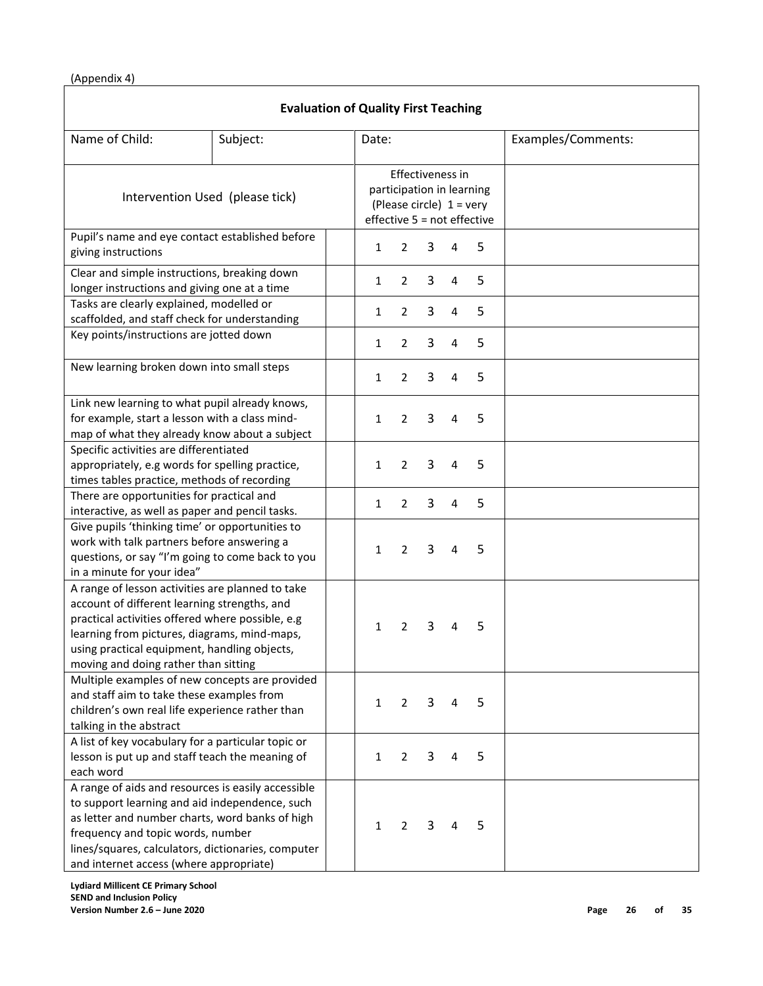(Appendix 4)

| <b>Evaluation of Quality First Teaching</b>                                                                                                                                                                                                                                                   |                                 |              |                                                                                    |   |                |                             |                    |
|-----------------------------------------------------------------------------------------------------------------------------------------------------------------------------------------------------------------------------------------------------------------------------------------------|---------------------------------|--------------|------------------------------------------------------------------------------------|---|----------------|-----------------------------|--------------------|
| Name of Child:                                                                                                                                                                                                                                                                                | Subject:                        | Date:        |                                                                                    |   |                |                             | Examples/Comments: |
|                                                                                                                                                                                                                                                                                               | Intervention Used (please tick) |              | Effectiveness in<br>participation in learning<br>(Please circle) $1 = \text{very}$ |   |                | effective 5 = not effective |                    |
| Pupil's name and eye contact established before<br>giving instructions                                                                                                                                                                                                                        |                                 | 1            | 2                                                                                  | 3 | 4              | 5                           |                    |
| Clear and simple instructions, breaking down<br>longer instructions and giving one at a time                                                                                                                                                                                                  |                                 | 1            | 2                                                                                  | 3 | 4              | 5                           |                    |
| Tasks are clearly explained, modelled or<br>scaffolded, and staff check for understanding                                                                                                                                                                                                     |                                 | 1            | 2                                                                                  | 3 | $\overline{4}$ | 5                           |                    |
| Key points/instructions are jotted down                                                                                                                                                                                                                                                       |                                 | 1            | $\overline{2}$                                                                     | 3 | 4              | 5                           |                    |
| New learning broken down into small steps                                                                                                                                                                                                                                                     |                                 | 1            | $\overline{2}$                                                                     | 3 | 4              | 5                           |                    |
| Link new learning to what pupil already knows,<br>for example, start a lesson with a class mind-<br>map of what they already know about a subject                                                                                                                                             |                                 | 1            | 2                                                                                  | 3 | 4              | 5                           |                    |
| Specific activities are differentiated<br>appropriately, e.g words for spelling practice,<br>times tables practice, methods of recording                                                                                                                                                      |                                 | 1            | $\overline{2}$                                                                     | 3 | 4              | 5                           |                    |
| There are opportunities for practical and<br>interactive, as well as paper and pencil tasks.                                                                                                                                                                                                  |                                 | 1            | $\overline{2}$                                                                     | 3 | 4              | 5                           |                    |
| Give pupils 'thinking time' or opportunities to<br>work with talk partners before answering a<br>questions, or say "I'm going to come back to you<br>in a minute for your idea"                                                                                                               |                                 | 1            | 2                                                                                  | 3 | 4              | 5                           |                    |
| A range of lesson activities are planned to take<br>account of different learning strengths, and<br>practical activities offered where possible, e.g<br>learning from pictures, diagrams, mind-maps,<br>using practical equipment, handling objects,<br>moving and doing rather than sitting  |                                 | 1            | 2                                                                                  | 3 | 4              | 5                           |                    |
| Multiple examples of new concepts are provided<br>and staff aim to take these examples from<br>children's own real life experience rather than<br>talking in the abstract                                                                                                                     |                                 | $\mathbf{1}$ | 2                                                                                  | 3 | 4              | 5                           |                    |
| A list of key vocabulary for a particular topic or<br>lesson is put up and staff teach the meaning of<br>each word                                                                                                                                                                            |                                 | 1            | $\overline{2}$                                                                     | 3 | 4              | 5                           |                    |
| A range of aids and resources is easily accessible<br>to support learning and aid independence, such<br>as letter and number charts, word banks of high<br>frequency and topic words, number<br>lines/squares, calculators, dictionaries, computer<br>and internet access (where appropriate) |                                 | 1            | 2                                                                                  | 3 | 4              | 5                           |                    |

**Lydiard Millicent CE Primary School SEND and Inclusion Policy Version Number 2.6 – June 2020 Page 26 of 35**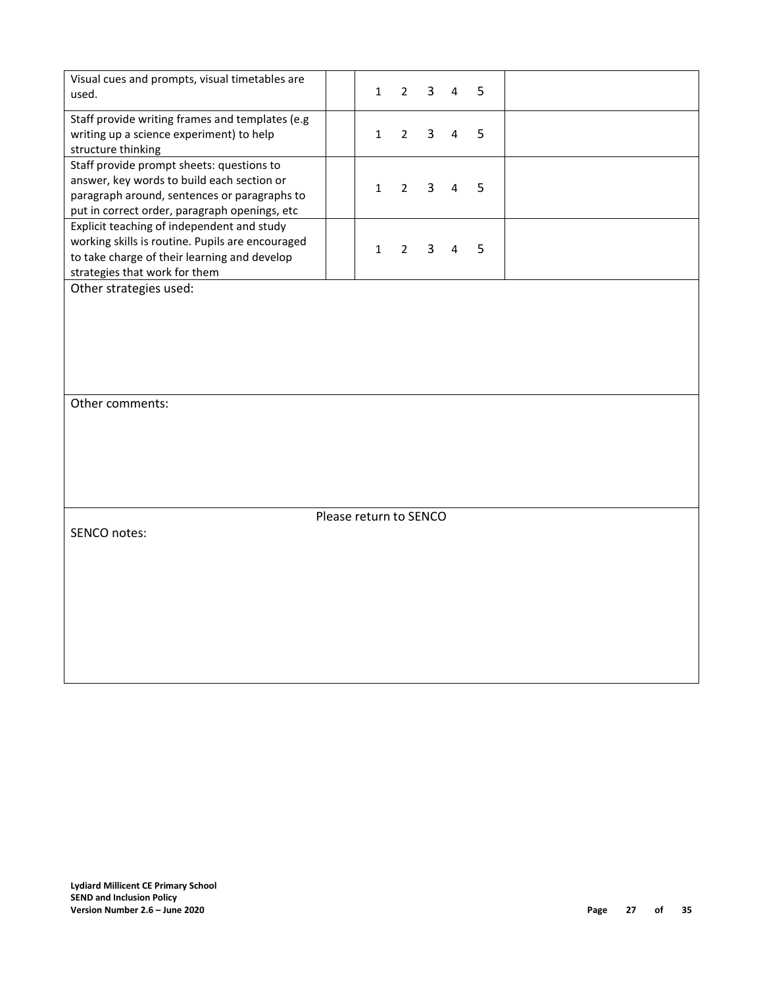| Visual cues and prompts, visual timetables are<br>used.                                                                                                                                  | $\mathbf{1}$           | $\overline{2}$ | 3 | 4              | 5 |  |
|------------------------------------------------------------------------------------------------------------------------------------------------------------------------------------------|------------------------|----------------|---|----------------|---|--|
| Staff provide writing frames and templates (e.g<br>writing up a science experiment) to help<br>structure thinking                                                                        | $\mathbf{1}$           | $\overline{2}$ | 3 | $\overline{4}$ | 5 |  |
| Staff provide prompt sheets: questions to<br>answer, key words to build each section or<br>paragraph around, sentences or paragraphs to<br>put in correct order, paragraph openings, etc | $\mathbf{1}$           | $\overline{2}$ | 3 | $\overline{4}$ | 5 |  |
| Explicit teaching of independent and study<br>working skills is routine. Pupils are encouraged<br>to take charge of their learning and develop<br>strategies that work for them          | $\mathbf{1}$           | $\overline{2}$ | 3 | $\overline{4}$ | 5 |  |
| Other strategies used:                                                                                                                                                                   |                        |                |   |                |   |  |
| Other comments:                                                                                                                                                                          |                        |                |   |                |   |  |
|                                                                                                                                                                                          |                        |                |   |                |   |  |
|                                                                                                                                                                                          | Please return to SENCO |                |   |                |   |  |
| SENCO notes:                                                                                                                                                                             |                        |                |   |                |   |  |
|                                                                                                                                                                                          |                        |                |   |                |   |  |
|                                                                                                                                                                                          |                        |                |   |                |   |  |
|                                                                                                                                                                                          |                        |                |   |                |   |  |
|                                                                                                                                                                                          |                        |                |   |                |   |  |
|                                                                                                                                                                                          |                        |                |   |                |   |  |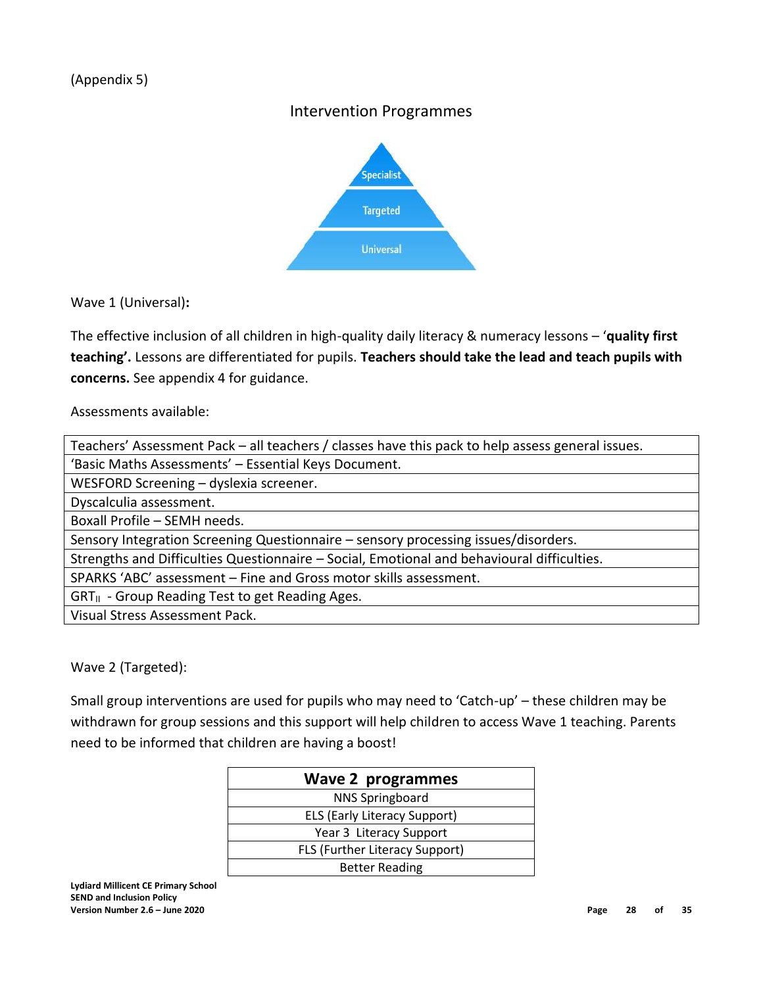# Intervention Programmes

![](_page_27_Figure_2.jpeg)

Wave 1 (Universal)**:** 

The effective inclusion of all children in high-quality daily literacy & numeracy lessons – '**quality first teaching'.** Lessons are differentiated for pupils. **Teachers should take the lead and teach pupils with concerns.** See appendix 4 for guidance.

Assessments available:

Wave 2 (Targeted):

Small group interventions are used for pupils who may need to 'Catch-up' – these children may be withdrawn for group sessions and this support will help children to access Wave 1 teaching. Parents need to be informed that children are having a boost!

| <b>Wave 2 programmes</b>              |  |  |  |  |  |
|---------------------------------------|--|--|--|--|--|
| <b>NNS Springboard</b>                |  |  |  |  |  |
| <b>ELS (Early Literacy Support)</b>   |  |  |  |  |  |
| Year 3 Literacy Support               |  |  |  |  |  |
| <b>FLS (Further Literacy Support)</b> |  |  |  |  |  |
| <b>Better Reading</b>                 |  |  |  |  |  |

**Lydiard Millicent CE Primary School SEND and Inclusion Policy Version Number 2.6 – June 2020 Page 28 of 35**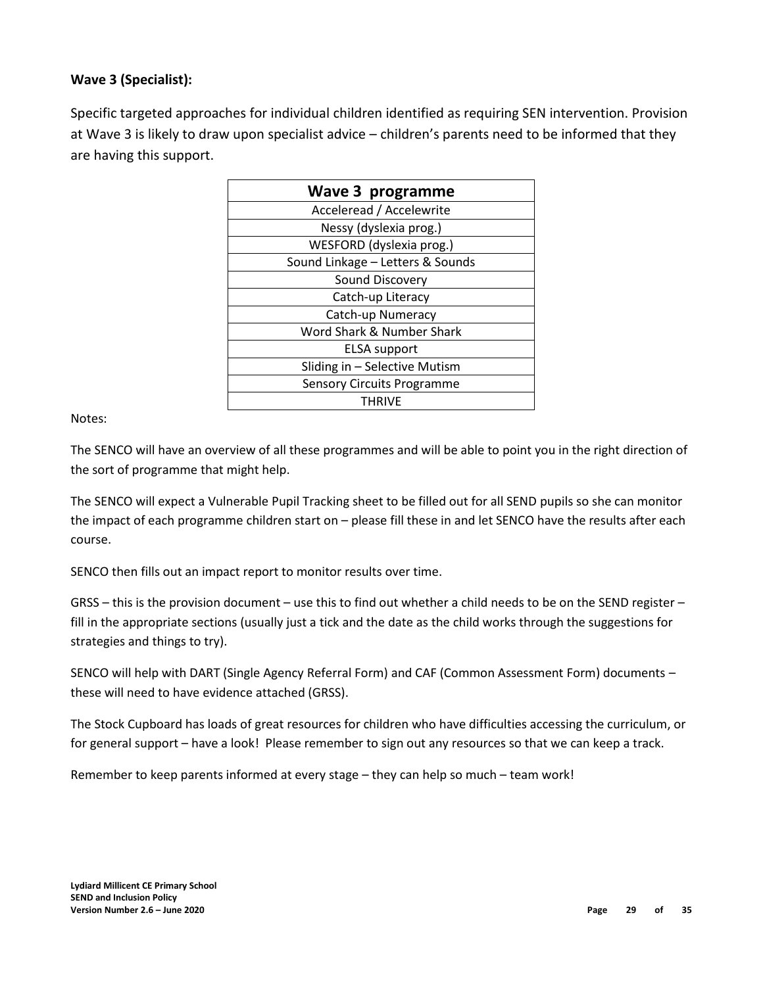### **Wave 3 (Specialist):**

Specific targeted approaches for individual children identified as requiring SEN intervention. Provision at Wave 3 is likely to draw upon specialist advice – children's parents need to be informed that they are having this support.

| Wave 3 programme                  |  |  |  |  |  |  |
|-----------------------------------|--|--|--|--|--|--|
| Acceleread / Accelewrite          |  |  |  |  |  |  |
| Nessy (dyslexia prog.)            |  |  |  |  |  |  |
| WESFORD (dyslexia prog.)          |  |  |  |  |  |  |
| Sound Linkage - Letters & Sounds  |  |  |  |  |  |  |
| Sound Discovery                   |  |  |  |  |  |  |
| Catch-up Literacy                 |  |  |  |  |  |  |
| Catch-up Numeracy                 |  |  |  |  |  |  |
| Word Shark & Number Shark         |  |  |  |  |  |  |
| ELSA support                      |  |  |  |  |  |  |
| Sliding in - Selective Mutism     |  |  |  |  |  |  |
| <b>Sensory Circuits Programme</b> |  |  |  |  |  |  |
| THRIVF                            |  |  |  |  |  |  |

Notes:

The SENCO will have an overview of all these programmes and will be able to point you in the right direction of the sort of programme that might help.

The SENCO will expect a Vulnerable Pupil Tracking sheet to be filled out for all SEND pupils so she can monitor the impact of each programme children start on – please fill these in and let SENCO have the results after each course.

SENCO then fills out an impact report to monitor results over time.

GRSS – this is the provision document – use this to find out whether a child needs to be on the SEND register – fill in the appropriate sections (usually just a tick and the date as the child works through the suggestions for strategies and things to try).

SENCO will help with DART (Single Agency Referral Form) and CAF (Common Assessment Form) documents – these will need to have evidence attached (GRSS).

The Stock Cupboard has loads of great resources for children who have difficulties accessing the curriculum, or for general support – have a look! Please remember to sign out any resources so that we can keep a track.

Remember to keep parents informed at every stage – they can help so much – team work!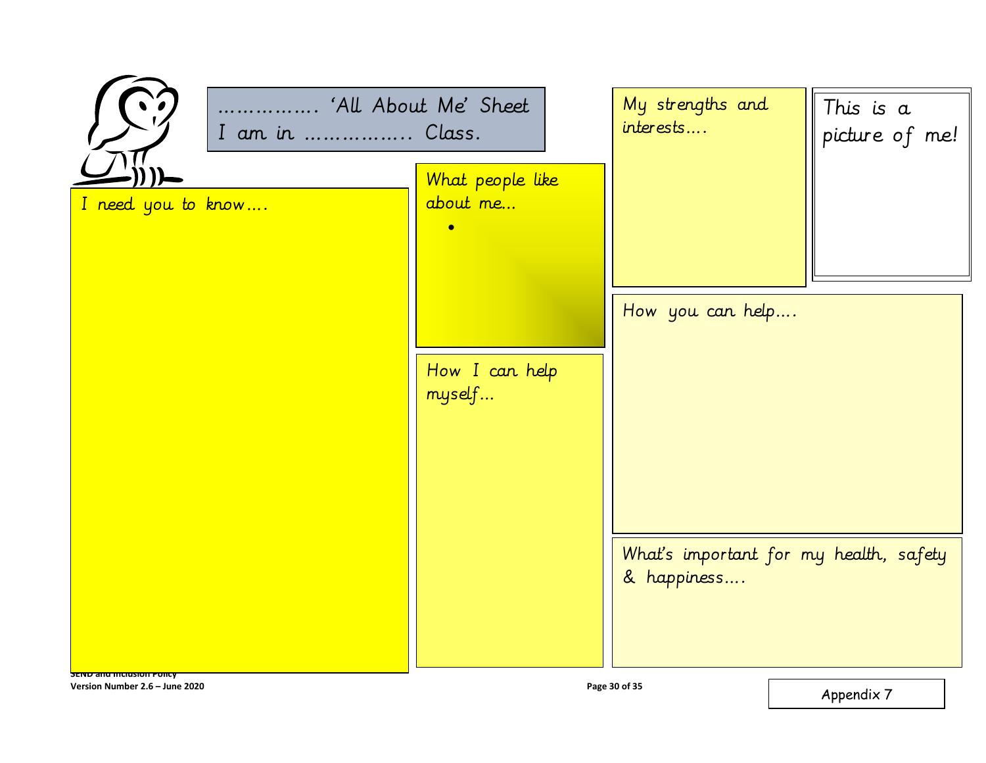| 'All About Me' Sheet<br>I am in  Class.                       |                          | My strengths and<br>interests | This is a<br>picture of me!            |  |
|---------------------------------------------------------------|--------------------------|-------------------------------|----------------------------------------|--|
|                                                               | What people like         |                               |                                        |  |
| I need you to know                                            | about me<br>ö            |                               |                                        |  |
|                                                               |                          |                               |                                        |  |
|                                                               |                          | How you can help              |                                        |  |
|                                                               | How I can help<br>myself |                               |                                        |  |
|                                                               |                          |                               |                                        |  |
|                                                               |                          | & happiness                   | What's important for my health, safety |  |
| <b>SEND and Inclusion Policy</b>                              |                          |                               |                                        |  |
| Page 30 of 35<br>Version Number 2.6 - June 2020<br>Appendix 7 |                          |                               |                                        |  |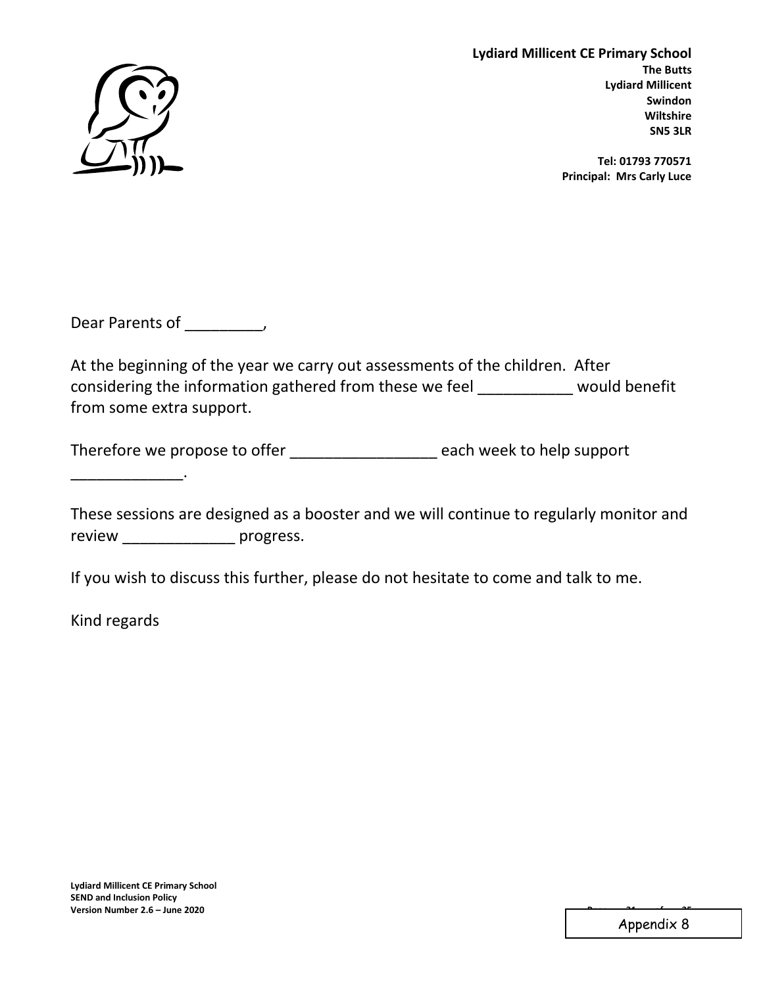![](_page_30_Picture_0.jpeg)

**Lydiard Millicent CE Primary School The Butts Lydiard Millicent Swindon Wiltshire SN5 3LR**

> **Tel: 01793 770571 Principal: Mrs Carly Luce**

Dear Parents of \_\_\_\_\_\_\_\_\_,

At the beginning of the year we carry out assessments of the children. After considering the information gathered from these we feel \_\_\_\_\_\_\_\_\_\_\_ would benefit from some extra support.

Therefore we propose to offer \_\_\_\_\_\_\_\_\_\_\_\_\_\_\_\_\_\_\_\_ each week to help support

These sessions are designed as a booster and we will continue to regularly monitor and review progress.

If you wish to discuss this further, please do not hesitate to come and talk to me.

Kind regards

Appendix 8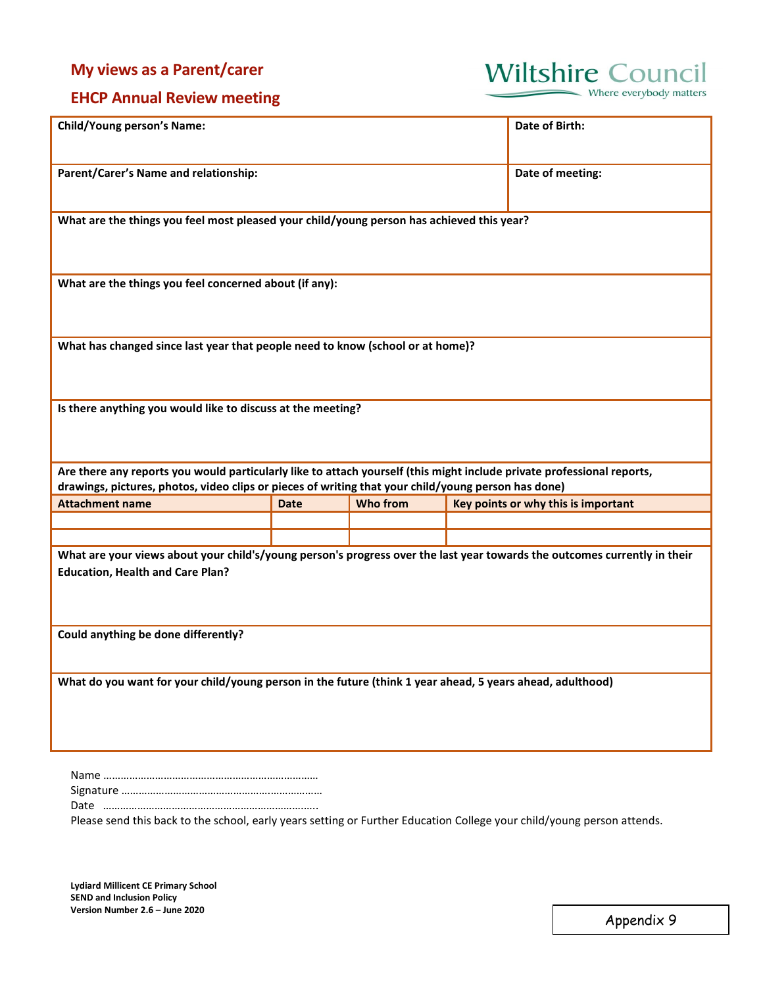# **My views as a Parent/carer**

![](_page_31_Picture_1.jpeg)

Where everybody matters

# **EHCP Annual Review meeting**

| <b>Child/Young person's Name:</b>                                                                                                                                                                                             |                  |          |                                     |  |  |  |  |
|-------------------------------------------------------------------------------------------------------------------------------------------------------------------------------------------------------------------------------|------------------|----------|-------------------------------------|--|--|--|--|
| Parent/Carer's Name and relationship:                                                                                                                                                                                         | Date of meeting: |          |                                     |  |  |  |  |
| What are the things you feel most pleased your child/young person has achieved this year?                                                                                                                                     |                  |          |                                     |  |  |  |  |
| What are the things you feel concerned about (if any):                                                                                                                                                                        |                  |          |                                     |  |  |  |  |
| What has changed since last year that people need to know (school or at home)?                                                                                                                                                |                  |          |                                     |  |  |  |  |
| Is there anything you would like to discuss at the meeting?                                                                                                                                                                   |                  |          |                                     |  |  |  |  |
| Are there any reports you would particularly like to attach yourself (this might include private professional reports,<br>drawings, pictures, photos, video clips or pieces of writing that your child/young person has done) |                  |          |                                     |  |  |  |  |
| <b>Attachment name</b>                                                                                                                                                                                                        | <b>Date</b>      | Who from | Key points or why this is important |  |  |  |  |
|                                                                                                                                                                                                                               |                  |          |                                     |  |  |  |  |
|                                                                                                                                                                                                                               |                  |          |                                     |  |  |  |  |
| What are your views about your child's/young person's progress over the last year towards the outcomes currently in their<br><b>Education, Health and Care Plan?</b>                                                          |                  |          |                                     |  |  |  |  |
| Could anything be done differently?                                                                                                                                                                                           |                  |          |                                     |  |  |  |  |
| What do you want for your child/young person in the future (think 1 year ahead, 5 years ahead, adulthood)                                                                                                                     |                  |          |                                     |  |  |  |  |
|                                                                                                                                                                                                                               |                  |          |                                     |  |  |  |  |

Please send this back to the school, early years setting or Further Education College your child/young person attends.

Signature …………………………………………….……………… Date …………………………………………………………….…..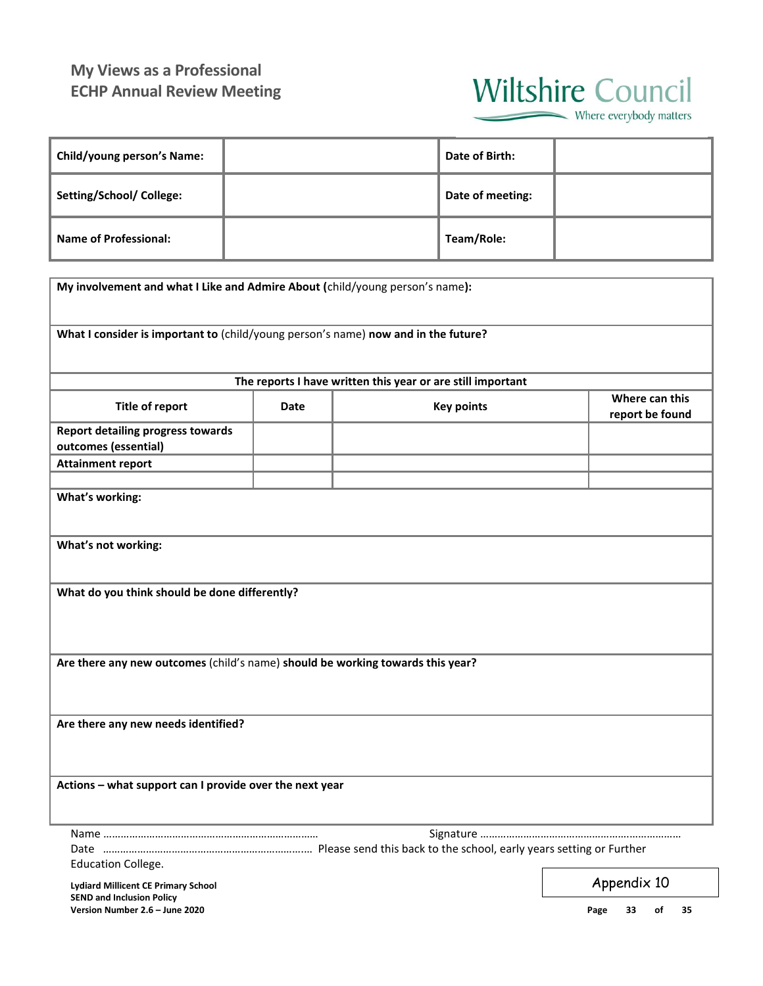# **My Views as a Professional ECHP Annual Review Meeting**

![](_page_32_Picture_1.jpeg)

Where everybody matters

| <b>Child/young person's Name:</b> | Date of Birth:   |  |
|-----------------------------------|------------------|--|
| Setting/School/ College:          | Date of meeting: |  |
| <b>Name of Professional:</b>      | Team/Role:       |  |

| My involvement and what I Like and Admire About (child/young person's name):                  |             |                   |                                   |  |  |  |  |  |  |  |
|-----------------------------------------------------------------------------------------------|-------------|-------------------|-----------------------------------|--|--|--|--|--|--|--|
| What I consider is important to (child/young person's name) now and in the future?            |             |                   |                                   |  |  |  |  |  |  |  |
| The reports I have written this year or are still important                                   |             |                   |                                   |  |  |  |  |  |  |  |
| <b>Title of report</b>                                                                        | <b>Date</b> | <b>Key points</b> | Where can this<br>report be found |  |  |  |  |  |  |  |
| <b>Report detailing progress towards</b><br>outcomes (essential)                              |             |                   |                                   |  |  |  |  |  |  |  |
| <b>Attainment report</b>                                                                      |             |                   |                                   |  |  |  |  |  |  |  |
|                                                                                               |             |                   |                                   |  |  |  |  |  |  |  |
| What's working:                                                                               |             |                   |                                   |  |  |  |  |  |  |  |
| What's not working:                                                                           |             |                   |                                   |  |  |  |  |  |  |  |
| What do you think should be done differently?                                                 |             |                   |                                   |  |  |  |  |  |  |  |
| Are there any new outcomes (child's name) should be working towards this year?                |             |                   |                                   |  |  |  |  |  |  |  |
| Are there any new needs identified?                                                           |             |                   |                                   |  |  |  |  |  |  |  |
| Actions - what support can I provide over the next year                                       |             |                   |                                   |  |  |  |  |  |  |  |
|                                                                                               |             |                   |                                   |  |  |  |  |  |  |  |
|                                                                                               |             |                   |                                   |  |  |  |  |  |  |  |
| <b>Education College.</b>                                                                     |             |                   |                                   |  |  |  |  |  |  |  |
| Appendix 10<br><b>Lydiard Millicent CE Primary School</b><br><b>SEND and Inclusion Policy</b> |             |                   |                                   |  |  |  |  |  |  |  |

**Version Number 2.6 – June 2020 Page 33 of 35**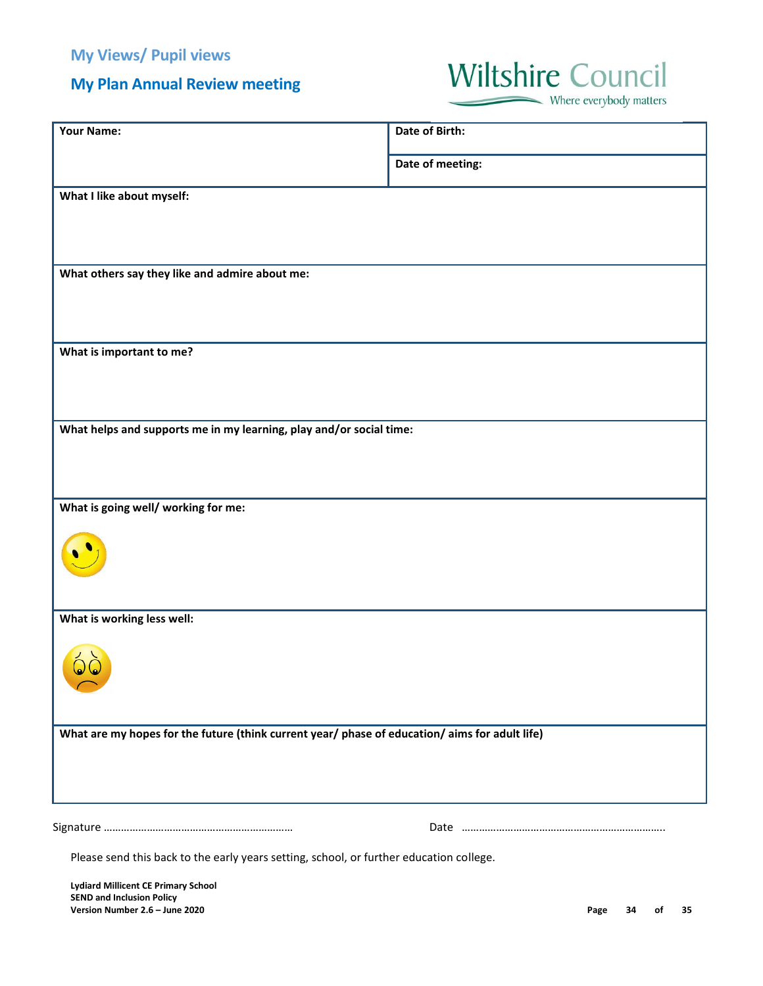# **My Plan Annual Review meeting**

# **Wiltshire Council**

Where everybody matters

| <b>Your Name:</b>                                                                              | Date of Birth:   |
|------------------------------------------------------------------------------------------------|------------------|
|                                                                                                | Date of meeting: |
| What I like about myself:                                                                      |                  |
|                                                                                                |                  |
| What others say they like and admire about me:                                                 |                  |
|                                                                                                |                  |
|                                                                                                |                  |
| What is important to me?                                                                       |                  |
|                                                                                                |                  |
| What helps and supports me in my learning, play and/or social time:                            |                  |
|                                                                                                |                  |
|                                                                                                |                  |
| What is going well/ working for me:                                                            |                  |
|                                                                                                |                  |
|                                                                                                |                  |
| What is working less well:                                                                     |                  |
|                                                                                                |                  |
|                                                                                                |                  |
|                                                                                                |                  |
| What are my hopes for the future (think current year/ phase of education/ aims for adult life) |                  |
|                                                                                                |                  |
|                                                                                                |                  |
|                                                                                                |                  |
| Please send this back to the early years setting, school, or further education college.        |                  |
|                                                                                                |                  |

**Lydiard Millicent CE Primary School SEND and Inclusion Policy Version Number 2.6 – June 2020 Page 34 of 35**